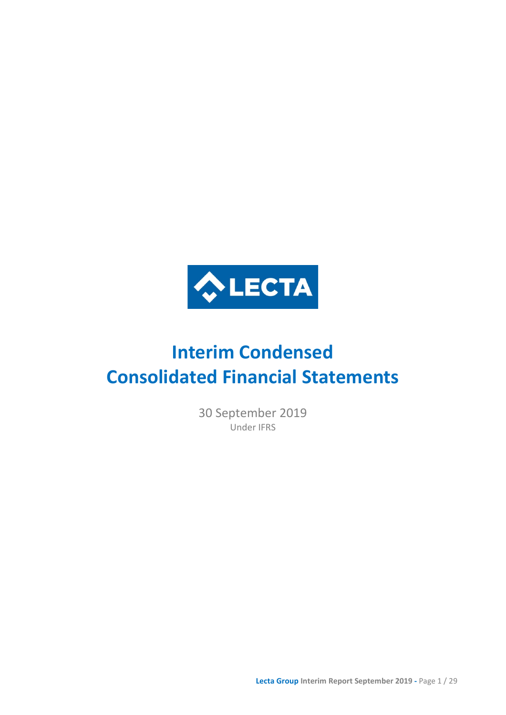

# **Interim Condensed Consolidated Financial Statements**

30 September 2019 Under IFRS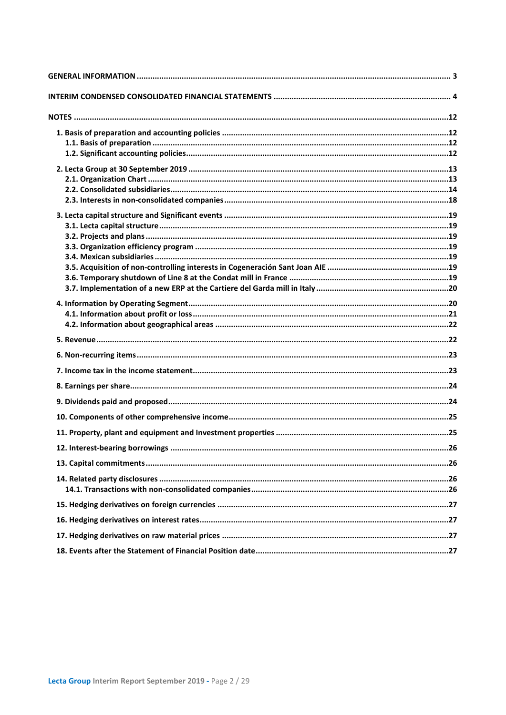| 26 |
|----|
|    |
|    |
|    |
|    |
|    |
|    |
|    |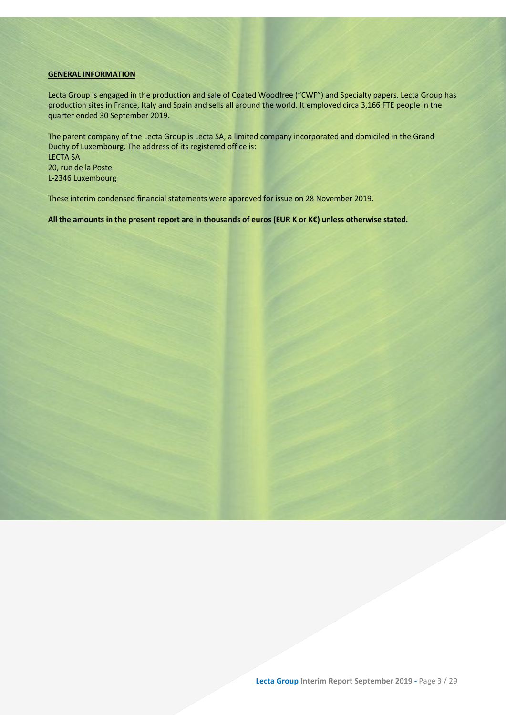### <span id="page-2-0"></span>**GENERAL INFORMATION**

Lecta Group is engaged in the production and sale of Coated Woodfree ("CWF") and Specialty papers. Lecta Group has production sites in France, Italy and Spain and sells all around the world. It employed circa 3,166 FTE people in the quarter ended 30 September 2019.

The parent company of the Lecta Group is Lecta SA, a limited company incorporated and domiciled in the Grand Duchy of Luxembourg. The address of its registered office is: LECTA SA 20, rue de la Poste L-2346 Luxembourg

These interim condensed financial statements were approved for issue on 28 November 2019.

**All the amounts in the present report are in thousands of euros (EUR K or K€) unless otherwise stated.**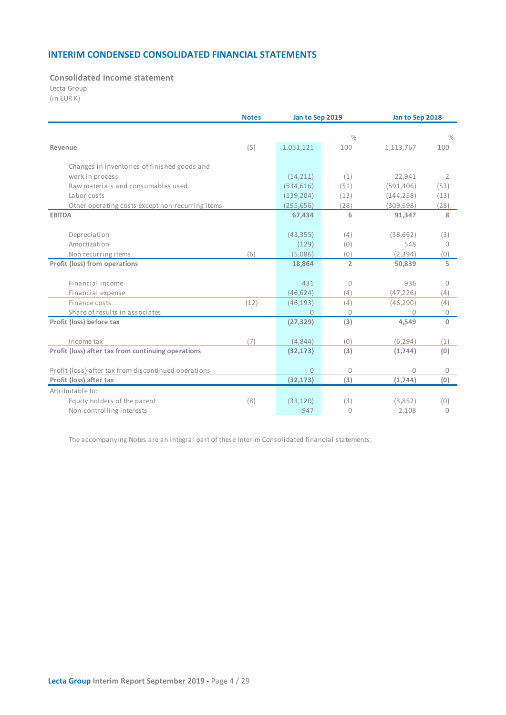# **INTERIM CONDENSED CONSOLIDATED FINANCIAL STATEMENTS**

# <span id="page-3-0"></span>**Consolidated income statement**

Lecta Group

| (in EUR K) |  |  |  |  |
|------------|--|--|--|--|
|------------|--|--|--|--|

|                                                      | <b>Notes</b> | Jan to Sep 2019 |                | Jan to Sep 2018 |                 |  |
|------------------------------------------------------|--------------|-----------------|----------------|-----------------|-----------------|--|
|                                                      |              |                 | $\frac{0}{0}$  |                 | $\frac{0}{0}$   |  |
| Revenue                                              | (5)          | 1,051,121       | 100            | 1,113,767       | 100             |  |
|                                                      |              |                 |                |                 |                 |  |
| Changes in inventories of finished goods and         |              |                 |                |                 |                 |  |
| work in process                                      |              | (14, 211)       | (1)            | 22,941          | $\overline{2}$  |  |
| Raw materials and consumables used                   |              | (534, 616)      | (51)           | (591, 406)      | (53)            |  |
| Labor costs                                          |              | (139, 204)      | (13)           | (144, 258)      | (13)            |  |
| Other operating costs except non-recurring items     |              | (295, 656)      | (28)           | (309, 698)      | (28)            |  |
| <b>EBITDA</b>                                        |              | 67,434          | 6              | 91,347          | 8               |  |
|                                                      |              | (43, 355)       | (4)            | (38, 662)       |                 |  |
| Depreciation<br>Amortization                         |              | (129)           | (0)            | 548             | (3)<br>$\Omega$ |  |
|                                                      | (6)          | (5,086)         | (0)            | (2, 394)        | (0)             |  |
| Non recurring items<br>Profit (loss) from operations |              | 18,864          | $\overline{2}$ | 50,839          | 5               |  |
|                                                      |              |                 |                |                 |                 |  |
| Financial income                                     |              | 431             | $\mathbf{0}$   | 936             | $\mathbf{0}$    |  |
| Financial expense                                    |              | (46, 624)       | (4)            | (47, 226)       | (4)             |  |
| Finance costs                                        | (12)         | (46, 193)       | (4)            | (46, 290)       | (4)             |  |
| Share of results in associates                       |              | $\Omega$        | $\Omega$       | 0               | $\mathbf 0$     |  |
| Profit (loss) before tax                             |              | (27, 329)       | (3)            | 4,549           | $\mathbf{0}$    |  |
|                                                      |              |                 |                |                 |                 |  |
| Income tax                                           | (7)          | (4,844)         | (0)            | (6, 294)        | (1)             |  |
| Profit (loss) after tax from continuing operations   |              | (32, 173)       | (3)            | (1,744)         | (0)             |  |
|                                                      |              |                 |                |                 |                 |  |
| Profit (loss) after tax from discontinued operations |              | $\Omega$        | 0              | 0               | 0               |  |
| Profit (loss) after tax                              |              | (32, 173)       | (3)            | (1,744)         | (0)             |  |
| Attributable to:                                     |              |                 |                |                 |                 |  |
| Equity holders of the parent                         | (8)          | (33, 120)       | (3)            | (3,852)         | (0)             |  |
| Non-controlling interests                            |              | 947             | $\mathbf{0}$   | 2,108           | 0               |  |

The accompanying Notes are an integral part of these Interim Consolidated financial statements.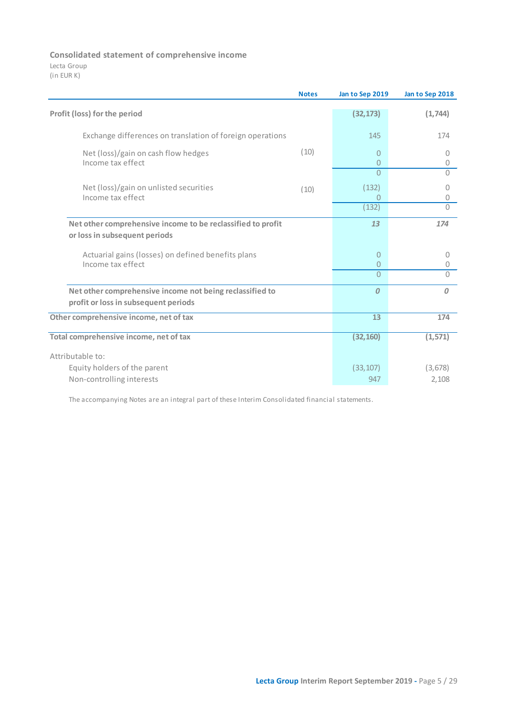# **Consolidated statement of comprehensive income**

Lecta Group (in EUR K)

|                                                                                                  | <b>Notes</b> | Jan to Sep 2019                | Jan to Sep 2018  |
|--------------------------------------------------------------------------------------------------|--------------|--------------------------------|------------------|
| Profit (loss) for the period                                                                     |              | (32, 173)                      | (1,744)          |
| Exchange differences on translation of foreign operations                                        |              | 145                            | 174              |
| Net (loss)/gain on cash flow hedges<br>Income tax effect                                         | (10)         | $\mathbf{0}$<br>$\overline{0}$ | $\bigcap$<br>0   |
|                                                                                                  |              | $\Omega$                       | $\bigcap$        |
| Net (loss)/gain on unlisted securities<br>Income tax effect                                      | (10)         | (132)<br>0                     | $\cup$<br>0      |
|                                                                                                  |              | (132)                          | $\Omega$         |
| Net other comprehensive income to be reclassified to profit<br>or loss in subsequent periods     |              | 13                             | 174              |
| Actuarial gains (losses) on defined benefits plans<br>Income tax effect                          |              | $\mathbf{0}$<br>$\mathbf{0}$   | 0<br>0           |
|                                                                                                  |              | $\Omega$                       | $\Omega$         |
| Net other comprehensive income not being reclassified to<br>profit or loss in subsequent periods |              | $\boldsymbol{0}$               | $\boldsymbol{0}$ |
| Other comprehensive income, net of tax                                                           |              | 13                             | 174              |
| Total comprehensive income, net of tax                                                           |              | (32, 160)                      | (1, 571)         |
| Attributable to:                                                                                 |              |                                |                  |
| Equity holders of the parent                                                                     |              | (33, 107)                      | (3,678)          |
| Non-controlling interests                                                                        |              | 947                            | 2,108            |

The accompanying Notes are an integral part of these Interim Consolidated financial statements.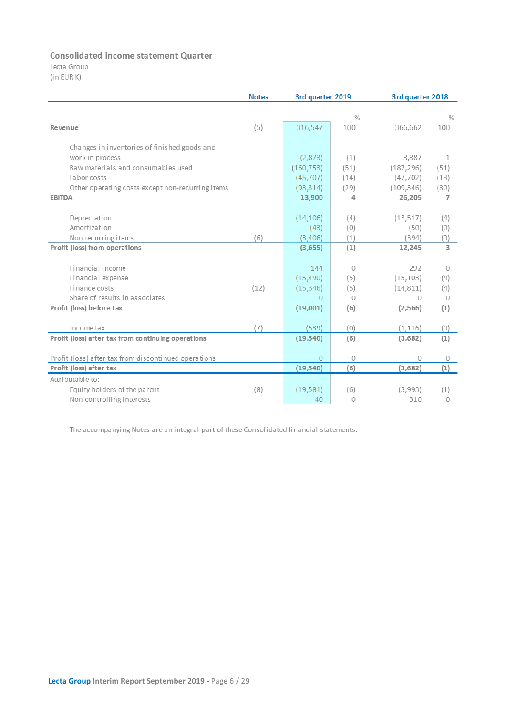# **Consolidated income statement Quarter**

Lecta Group (in EUR K)

|                                                      | <b>Notes</b> | 3rd quarter 2019 |                      | 3rd quarter 2018 |                |  |
|------------------------------------------------------|--------------|------------------|----------------------|------------------|----------------|--|
|                                                      |              |                  |                      |                  |                |  |
|                                                      |              |                  | $\frac{9}{6}$<br>100 |                  | $\frac{9}{6}$  |  |
| Revenue                                              | (5)          | 316,547          |                      | 366,662          | 100            |  |
| Changes in inventories of finished goods and         |              |                  |                      |                  |                |  |
| work in process                                      |              | (2,873)          | (1)                  | 3,887            | 1              |  |
| Raw materials and consumables used                   |              | (160, 753)       | (51)                 | (187, 296)       | (51)           |  |
| La bor costs                                         |              | (45,707)         | (14)                 | (47, 702)        | (13)           |  |
| Other operating costs except non-recurring items     |              | (93, 314)        | (29)                 | (109, 346)       | (30)           |  |
| <b>EBITDA</b>                                        |              | 13,900           | 4                    | 26,205           | $\overline{7}$ |  |
|                                                      |              |                  |                      |                  |                |  |
| Depreciation                                         |              | (14, 106)        | (4)                  | (13, 517)        | (4)            |  |
| Amortization                                         |              | (43)             | (0)                  | (50)             | (0)            |  |
| Non recurring items                                  | (6)          | (3,406)          | (1)                  | (394)            | (0)            |  |
| Profit (loss) from operations                        |              | (3,655)          | (1)                  | 12,245           | з              |  |
|                                                      |              |                  |                      |                  |                |  |
| Financial income                                     |              | 144              | 0                    | 292              | 0              |  |
| Financial expense                                    |              | (15, 490)        | (5)                  | (15, 103)        | (4)            |  |
| Finance costs                                        | (12)         | (15, 346)        | (5)                  | (14, 811)        | (4)            |  |
| Share of results in associates                       |              | $\Omega$         | 0                    | $\Omega$         | 0              |  |
| Profit (loss) before tax                             |              | (19,001)         | (6)                  | (2, 566)         | (1)            |  |
|                                                      |              |                  |                      |                  |                |  |
| Income tax                                           | (7)          | (539)            | (0)                  | (1, 116)         | (0)            |  |
| Profit (loss) after tax from continuing operations   |              | (19, 540)        | (6)                  | (3,682)          | (1)            |  |
|                                                      |              |                  |                      |                  |                |  |
| Profit (loss) after tax from discontinued operations |              | $\overline{0}$   | 0                    | $\Omega$         | 0              |  |
| Profit (loss) after tax                              |              | (19, 540)        | (6)                  | (3,682)          | (1)            |  |
| Attributable to:                                     |              |                  |                      |                  |                |  |
| Equity holders of the parent                         | (8)          | (19, 581)        | (6)                  | (3,993)          | (1)            |  |
| Non-controlling interests                            |              | 40               | 0                    | 310              | 0              |  |

The accompanying Notes are an integral part of these Consolidated financial statements.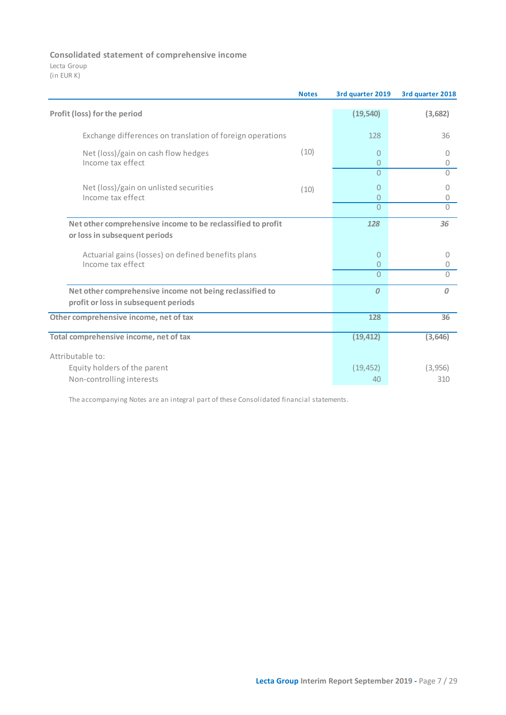# **Consolidated statement of comprehensive income**

Lecta Group (in EUR K)

|                                                                                                  | <b>Notes</b> | 3rd quarter 2019  | 3rd quarter 2018 |
|--------------------------------------------------------------------------------------------------|--------------|-------------------|------------------|
| Profit (loss) for the period                                                                     |              | (19, 540)         | (3,682)          |
| Exchange differences on translation of foreign operations                                        |              | 128               | 36               |
| Net (loss)/gain on cash flow hedges<br>Income tax effect                                         | (10)         | $\mathbf{0}$<br>0 | 0<br>0           |
|                                                                                                  |              | $\overline{0}$    | $\bigcap$        |
| Net (loss)/gain on unlisted securities<br>Income tax effect                                      | (10)         | 0<br>$\mathbf{0}$ | 0<br>0           |
|                                                                                                  |              | $\Omega$          | $\Omega$         |
| Net other comprehensive income to be reclassified to profit<br>or loss in subsequent periods     |              | 128               | 36               |
| Actuarial gains (losses) on defined benefits plans<br>Income tax effect                          |              | 0<br>0            | $\circ$<br>0     |
|                                                                                                  |              | $\Omega$          | $\Omega$         |
| Net other comprehensive income not being reclassified to<br>profit or loss in subsequent periods |              | $\boldsymbol{0}$  | $\overline{0}$   |
| Other comprehensive income, net of tax                                                           |              | 128               | 36               |
| Total comprehensive income, net of tax                                                           |              | (19, 412)         | (3, 646)         |
| Attributable to:                                                                                 |              |                   |                  |
| Equity holders of the parent                                                                     |              | (19, 452)         | (3,956)          |
| Non-controlling interests                                                                        |              | 40                | 310              |

The accompanying Notes are an integral part of these Consolidated financial statements.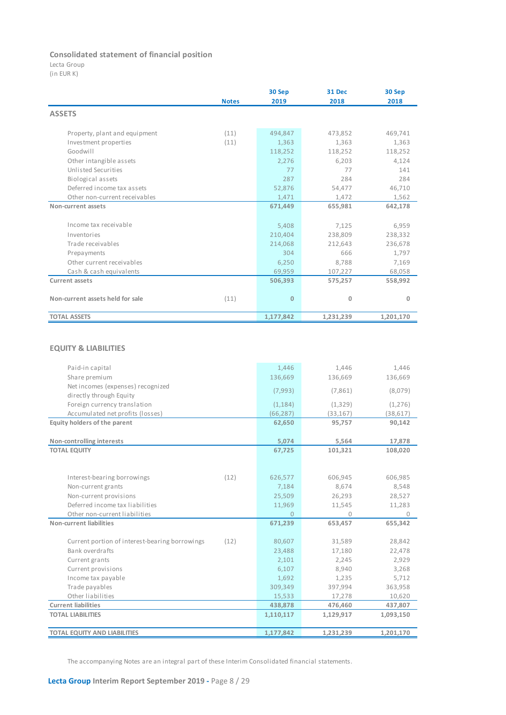### **Consolidated statement of financial position**

Lecta Group

(in EUR K)

|                                  | <b>Notes</b> | 30 Sep<br>2019 | 31 Dec<br>2018 | 30 Sep<br>2018 |
|----------------------------------|--------------|----------------|----------------|----------------|
| <b>ASSETS</b>                    |              |                |                |                |
| Property, plant and equipment    | (11)         | 494,847        | 473,852        | 469,741        |
| Investment properties            | (11)         | 1,363          | 1,363          | 1,363          |
| Goodwill                         |              | 118,252        | 118,252        | 118,252        |
| Other intangible assets          |              | 2,276          | 6,203          | 4,124          |
| Unlisted Securities              |              | 77             | 77             | 141            |
| Biological assets                |              | 287            | 284            | 284            |
| Deferred income tax assets       |              | 52,876         | 54,477         | 46,710         |
| Other non-current receivables    |              | 1,471          | 1,472          | 1,562          |
| Non-current assets               |              | 671,449        | 655,981        | 642,178        |
| Income tax receivable            |              | 5,408          | 7,125          | 6,959          |
| Inventories                      |              | 210,404        | 238,809        | 238,332        |
| Trade receivables                |              | 214,068        | 212,643        | 236,678        |
| Prepayments                      |              | 304            | 666            | 1,797          |
| Other current receivables        |              | 6,250          | 8,788          | 7,169          |
| Cash & cash equivalents          |              | 69,959         | 107,227        | 68,058         |
| <b>Current assets</b>            |              | 506,393        | 575,257        | 558,992        |
| Non-current assets held for sale | (11)         | $\mathbf{0}$   | 0              | 0              |
| <b>TOTAL ASSETS</b>              |              | 1,177,842      | 1,231,239      | 1,201,170      |

# **EQUITY & LIABILITIES**

| Paid-in capital                                        | 1.446     | 1.446     | 1,446     |
|--------------------------------------------------------|-----------|-----------|-----------|
| Share premium                                          | 136,669   | 136,669   | 136,669   |
| Net incomes (expenses) recognized                      |           |           |           |
| directly through Equity                                | (7,993)   | (7,861)   | (8,079)   |
| Foreign currency translation                           | (1, 184)  | (1, 329)  | (1,276)   |
| Accumulated net profits (losses)                       | (66, 287) | (33, 167) | (38, 617) |
| Equity holders of the parent                           | 62,650    | 95,757    | 90,142    |
|                                                        |           |           |           |
| Non-controlling interests                              | 5,074     | 5,564     | 17,878    |
| <b>TOTAL EQUITY</b>                                    | 67,725    | 101,321   | 108,020   |
|                                                        |           |           |           |
|                                                        |           |           |           |
| (12)<br>Interest-bearing borrowings                    | 626,577   | 606,945   | 606,985   |
| Non-current grants                                     | 7,184     | 8,674     | 8,548     |
| Non-current provisions                                 | 25,509    | 26,293    | 28,527    |
| Deferred income tax liabilities                        | 11,969    | 11,545    | 11,283    |
| Other non-current liabilities                          | $\Omega$  | 0         | $\Omega$  |
| Non-current liabilities                                | 671,239   | 653,457   | 655,342   |
|                                                        |           |           |           |
| Current portion of interest-bearing borrowings<br>(12) | 80,607    | 31,589    | 28,842    |
| Bank overdrafts                                        | 23,488    | 17,180    | 22,478    |
| Current grants                                         | 2,101     | 2,245     | 2,929     |
| Current provisions                                     | 6,107     | 8,940     | 3,268     |
| Income tax payable                                     | 1,692     | 1,235     | 5,712     |
| Trade payables                                         | 309,349   | 397,994   | 363,958   |
| Other liabilities                                      | 15,533    | 17,278    | 10,620    |
| <b>Current liabilities</b>                             | 438,878   | 476,460   | 437,807   |
| <b>TOTAL LIABILITIES</b>                               | 1,110,117 | 1,129,917 | 1,093,150 |
|                                                        |           |           |           |
| <b>TOTAL EQUITY AND LIABILITIES</b>                    | 1,177,842 | 1,231,239 | 1,201,170 |

The accompanying Notes are an integral part of these Interim Consolidated financial statements.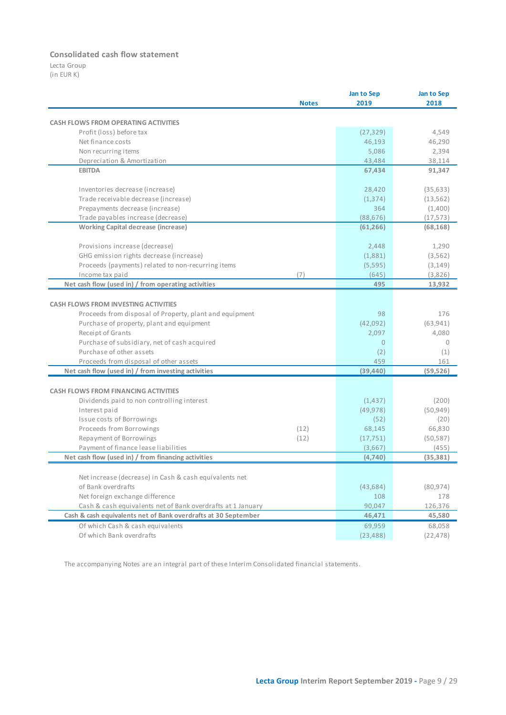### **Consolidated cash flow statement**

Lecta Group (in EUR K)

|                                                                | <b>Notes</b> | Jan to Sep<br>2019 | Jan to Sep<br>2018 |
|----------------------------------------------------------------|--------------|--------------------|--------------------|
| <b>CASH FLOWS FROM OPERATING ACTIVITIES</b>                    |              |                    |                    |
| Profit (loss) before tax                                       |              | (27, 329)          | 4,549              |
| Net finance costs                                              |              | 46,193             | 46,290             |
| Non recurring items                                            |              | 5,086              | 2,394              |
| Depreciation & Amortization                                    |              | 43,484             | 38,114             |
| <b>EBITDA</b>                                                  |              | 67,434             | 91,347             |
| Inventories decrease (increase)                                |              | 28,420             | (35, 633)          |
| Trade receivable decrease (increase)                           |              | (1, 374)           | (13, 562)          |
| Prepayments decrease (increase)                                |              | 364                | (1,400)            |
| Trade payables increase (decrease)                             |              | (88, 676)          | (17, 573)          |
| <b>Working Capital decrease (increase)</b>                     |              | (61, 266)          | (68, 168)          |
| Provisions increase (decrease)                                 |              | 2,448              | 1,290              |
| GHG emission rights decrease (increase)                        |              | (1,881)            | (3, 562)           |
| Proceeds (payments) related to non-recurring items             |              | (5,595)            | (3, 149)           |
| Income tax paid                                                | (7)          | (645)              | (3,826)            |
| Net cash flow (used in) / from operating activities            |              | 495                | 13,932             |
| <b>CASH FLOWS FROM INVESTING ACTIVITIES</b>                    |              |                    |                    |
| Proceeds from disposal of Property, plant and equipment        |              | 98                 | 176                |
| Purchase of property, plant and equipment                      |              | (42,092)           | (63, 941)          |
| Receipt of Grants                                              |              | 2,097              | 4,080              |
| Purchase of subsidiary, net of cash acquired                   |              | $\mathbf{0}$       | $\circ$            |
| Purchase of other assets                                       |              | (2)                | (1)                |
| Proceeds from disposal of other assets                         |              | 459                | 161                |
| Net cash flow (used in) / from investing activities            |              | (39, 440)          | (59, 526)          |
| <b>CASH FLOWS FROM FINANCING ACTIVITIES</b>                    |              |                    |                    |
| Dividends paid to non controlling interest                     |              | (1, 437)           | (200)              |
| Interest paid                                                  |              | (49, 978)          | (50, 949)          |
| Issue costs of Borrowings                                      |              | (52)               | (20)               |
| Proceeds from Borrowings                                       | (12)         | 68,145             | 66,830             |
| Repayment of Borrowings                                        | (12)         | (17, 751)          | (50, 587)          |
| Payment of finance lease liabilities                           |              | (3,667)            | (455)              |
| Net cash flow (used in) / from financing activities            |              | (4,740)            | (35, 381)          |
| Net increase (decrease) in Cash & cash equivalents net         |              |                    |                    |
| of Bank overdrafts                                             |              | (43, 684)          | (80, 974)          |
| Net foreign exchange difference                                |              | 108                | 178                |
| Cash & cash equivalents net of Bank overdrafts at 1 January    |              | 90,047             | 126,376            |
| Cash & cash equivalents net of Bank overdrafts at 30 September |              | 46,471             | 45,580             |
| Of which Cash & cash equivalents                               |              | 69,959             | 68,058             |
| Of which Bank overdrafts                                       |              | (23, 488)          | (22, 478)          |

The accompanying Notes are an integral part of these Interim Consolidated financial statements.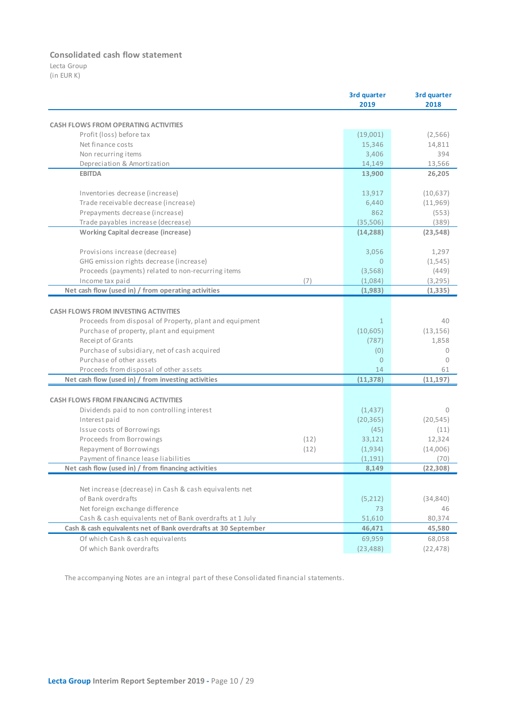### **Consolidated cash flow statement**

Lecta Group (in EUR K)

|                                                                |      | 3rd quarter    | 3rd quarter |
|----------------------------------------------------------------|------|----------------|-------------|
|                                                                |      | 2019           | 2018        |
|                                                                |      |                |             |
| <b>CASH FLOWS FROM OPERATING ACTIVITIES</b>                    |      |                |             |
| Profit (loss) before tax                                       |      | (19,001)       | (2,566)     |
| Net finance costs                                              |      | 15,346         | 14,811      |
| Non recurring items                                            |      | 3,406          | 394         |
| Depreciation & Amortization                                    |      | 14,149         | 13,566      |
| <b>EBITDA</b>                                                  |      | 13,900         | 26,205      |
| Inventories decrease (increase)                                |      | 13,917         | (10,637)    |
| Trade receivable decrease (increase)                           |      | 6,440          | (11,969)    |
| Prepayments decrease (increase)                                |      | 862            | (553)       |
| Trade payables increase (decrease)                             |      | (35,506)       | (389)       |
| <b>Working Capital decrease (increase)</b>                     |      | (14, 288)      | (23, 548)   |
| Provisions increase (decrease)                                 |      | 3,056          | 1,297       |
| GHG emission rights decrease (increase)                        |      | 0              | (1, 545)    |
| Proceeds (payments) related to non-recurring items             |      | (3,568)        | (449)       |
| Income tax paid                                                | (7)  | (1.084)        | (3, 295)    |
| Net cash flow (used in) / from operating activities            |      | (1,983)        | (1, 335)    |
|                                                                |      |                |             |
| <b>CASH FLOWS FROM INVESTING ACTIVITIES</b>                    |      |                |             |
| Proceeds from disposal of Property, plant and equipment        |      | $\mathbf{1}$   | 40          |
| Purchase of property, plant and equipment                      |      | (10,605)       | (13, 156)   |
| Receipt of Grants                                              |      | (787)          | 1,858       |
| Purchase of subsidiary, net of cash acquired                   |      | (0)            | 0           |
| Purchase of other assets                                       |      | $\overline{0}$ | 0           |
| Proceeds from disposal of other assets                         |      | 14             | 61          |
| Net cash flow (used in) / from investing activities            |      | (11, 378)      | (11, 197)   |
|                                                                |      |                |             |
| <b>CASH FLOWS FROM FINANCING ACTIVITIES</b>                    |      |                |             |
| Dividends paid to non controlling interest                     |      | (1, 437)       | $\Omega$    |
| Interest paid                                                  |      | (20, 365)      | (20, 545)   |
| <b>Issue costs of Borrowings</b>                               |      | (45)           | (11)        |
| Proceeds from Borrowings                                       | (12) | 33,121         | 12,324      |
| Repayment of Borrowings                                        | (12) | (1,934)        | (14,006)    |
| Payment of finance lease liabilities                           |      | (1, 191)       | (70)        |
| Net cash flow (used in) / from financing activities            |      | 8,149          | (22, 308)   |
| Net increase (decrease) in Cash & cash equivalents net         |      |                |             |
| of Bank overdrafts                                             |      | (5,212)        | (34, 840)   |
| Net foreign exchange difference                                |      | 73             | 46          |
| Cash & cash equivalents net of Bank overdrafts at 1 July       |      | 51,610         | 80,374      |
| Cash & cash equivalents net of Bank overdrafts at 30 September |      | 46,471         | 45,580      |
|                                                                |      |                |             |
| Of which Cash & cash equivalents                               |      | 69,959         | 68,058      |
| Of which Bank overdrafts                                       |      | (23, 488)      | (22, 478)   |

The accompanying Notes are an integral part of these Consolidated financial statements.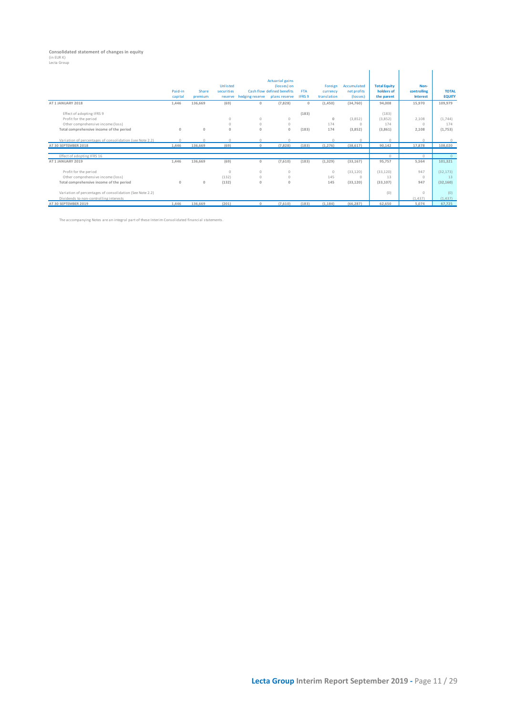# **Consolidated statement of changes in equity** (in EUR K) Lecta Group

| recra aroab                                              |         |              |            |                 |                            |               |             |             |                     |                 |               |
|----------------------------------------------------------|---------|--------------|------------|-----------------|----------------------------|---------------|-------------|-------------|---------------------|-----------------|---------------|
|                                                          |         |              |            |                 |                            |               |             |             |                     |                 |               |
|                                                          |         |              |            |                 | <b>Actuarial gains</b>     |               |             |             |                     |                 |               |
|                                                          |         |              | Unlisted   |                 | (losses) on                |               | Foreign     | Accumulated | <b>Total Equity</b> | Non-            |               |
|                                                          | Paid-in | Share        | securities |                 | Cash flow defined benefits | <b>FTA</b>    | currency    | net profits | holders of          | controlling     | <b>TOTAL</b>  |
|                                                          | capital | premium      | reserve    | hedging reserve | plans reserve              | <b>IFRS 9</b> | translation | (losses)    | the parent          | <b>Interest</b> | <b>EQUITY</b> |
| AT 1 JANUARY 2018                                        | 1,446   | 136,669      | (69)       | $\mathbf{0}$    | (7,828)                    | $\mathbf{0}$  | (1,450)     | (34,760)    | 94.008              | 15,970          | 109,979       |
| Effect of adopting IFRS 9                                |         |              |            |                 |                            | (183)         |             |             | (183)               |                 |               |
| Profit for the period                                    |         |              | $\Omega$   | $\Omega$        | $\Omega$                   |               | $\Omega$    | (3,852)     | (3,852)             | 2,108           | (1,744)       |
| Other comprehensive income (loss)                        |         |              | $\Omega$   | $\circ$         | $\circ$                    |               | 174         | $\Omega$    | 174                 | $\Omega$        | 174           |
| Total comprehensive income of the period                 | $\circ$ | $\mathbf{0}$ | $\Omega$   | $\Omega$        | $\Omega$                   | (183)         | 174         | (3,852)     | (3,861)             | 2,108           | (1,753)       |
| Variation of percentages of consolidation (see Note 2.2) | $\circ$ |              | $\circ$    | $\Omega$        |                            |               | $\Omega$    | $\cap$      | $\Omega$            | $\Omega$        | $\Omega$      |
| AT 30 SEPTEMBER 2018                                     | 1,446   | 136,669      | (69)       | $\mathbf{0}$    | (7,828)                    | (183)         | (1, 276)    | (38, 617)   | 90,142              | 17,878          | 108,020       |
|                                                          |         |              |            |                 |                            |               |             |             |                     |                 |               |
| Effect of adopting IFRS 16                               |         |              |            |                 |                            |               |             |             | $\Omega$            | $\Omega$        | $\Omega$      |
| AT 1 JANUARY 2019                                        | 1,446   | 136,669      | (69)       | $\mathbf{0}$    | (7,610)                    | (183)         | (1, 329)    | (33, 167)   | 95,757              | 5,564           | 101,321       |
| Profit for the period                                    |         |              | $\circ$    | $\Omega$        | $\circ$                    |               | $\circ$     | (33, 120)   | (33, 120)           | 947             | (32, 173)     |
| Other comprehensive income (loss)                        |         |              | (132)      | $\circ$         | $\circ$                    |               | 145         | $\circ$     | 13                  | $\Omega$        | 13            |
| Total comprehensive income of the period                 | $\circ$ | $\mathbf{0}$ | (132)      | $\Omega$        | $\Omega$                   |               | 145         | (33, 120)   | (33, 107)           | 947             | (32, 160)     |
| Variation of percentages of consolidation (See Note 2.2) |         |              |            |                 |                            |               |             |             | (0)                 | $\circ$         | (0)           |
| Dividends to non-controlling interests                   |         |              |            |                 |                            |               |             |             |                     | (1, 437)        | (1, 437)      |
| AT 30 SEPTEMBER 2019                                     | 1,446   | 136,669      | (201)      | $\Omega$        | (7,610)                    | (183)         | (1, 184)    | (66, 287)   | 62,650              | 5,074           | 67,725        |

The accompanying Notes are an integral part of these Interim Consolidated financial statements.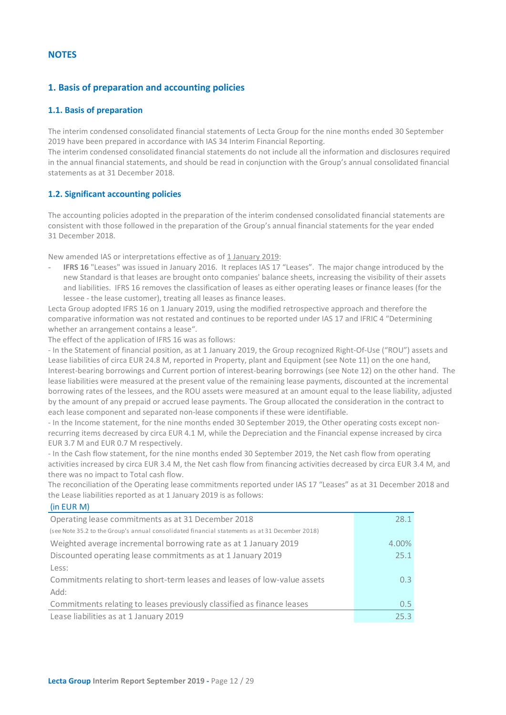# <span id="page-11-0"></span>**NOTES**

# <span id="page-11-1"></span>**1. Basis of preparation and accounting policies**

### <span id="page-11-2"></span>**1.1. Basis of preparation**

The interim condensed consolidated financial statements of Lecta Group for the nine months ended 30 September 2019 have been prepared in accordance with IAS 34 Interim Financial Reporting.

The interim condensed consolidated financial statements do not include all the information and disclosures required in the annual financial statements, and should be read in conjunction with the Group's annual consolidated financial statements as at 31 December 2018.

### <span id="page-11-3"></span>**1.2. Significant accounting policies**

The accounting policies adopted in the preparation of the interim condensed consolidated financial statements are consistent with those followed in the preparation of the Group's annual financial statements for the year ended 31 December 2018.

New amended IAS or interpretations effective as of 1 January 2019:

- **IFRS 16** "Leases" was issued in January 2016. It replaces IAS 17 "Leases". The major change introduced by the new Standard is that leases are brought onto companies' balance sheets, increasing the visibility of their assets and liabilities. IFRS 16 removes the classification of leases as either operating leases or finance leases (for the lessee - the lease customer), treating all leases as finance leases.

Lecta Group adopted IFRS 16 on 1 January 2019, using the modified retrospective approach and therefore the comparative information was not restated and continues to be reported under IAS 17 and IFRIC 4 "Determining whether an arrangement contains a lease".

The effect of the application of IFRS 16 was as follows:

- In the Statement of financial position, as at 1 January 2019, the Group recognized Right-Of-Use ("ROU") assets and Lease liabilities of circa EUR 24.8 M, reported in Property, plant and Equipment (see Note 11) on the one hand, Interest-bearing borrowings and Current portion of interest-bearing borrowings (see Note 12) on the other hand. The lease liabilities were measured at the present value of the remaining lease payments, discounted at the incremental borrowing rates of the lessees, and the ROU assets were measured at an amount equal to the lease liability, adjusted by the amount of any prepaid or accrued lease payments. The Group allocated the consideration in the contract to each lease component and separated non-lease components if these were identifiable.

- In the Income statement, for the nine months ended 30 September 2019, the Other operating costs except nonrecurring items decreased by circa EUR 4.1 M, while the Depreciation and the Financial expense increased by circa EUR 3.7 M and EUR 0.7 M respectively.

- In the Cash flow statement, for the nine months ended 30 September 2019, the Net cash flow from operating activities increased by circa EUR 3.4 M, the Net cash flow from financing activities decreased by circa EUR 3.4 M, and there was no impact to Total cash flow.

The reconciliation of the Operating lease commitments reported under IAS 17 "Leases" as at 31 December 2018 and the Lease liabilities reported as at 1 January 2019 is as follows:

| (in EUR M)                                                                                     |                  |
|------------------------------------------------------------------------------------------------|------------------|
| Operating lease commitments as at 31 December 2018                                             | 28.1             |
| (see Note 35.2 to the Group's annual consolidated financial statements as at 31 December 2018) |                  |
| Weighted average incremental borrowing rate as at 1 January 2019                               | 4.00%            |
| Discounted operating lease commitments as at 1 January 2019                                    | 25.1             |
| Less:                                                                                          |                  |
| Commitments relating to short-term leases and leases of low-value assets                       | 0.3 <sup>°</sup> |
| Add:                                                                                           |                  |
| Commitments relating to leases previously classified as finance leases                         | $0.5^{\circ}$    |
| Lease liabilities as at 1 January 2019                                                         | 25.3             |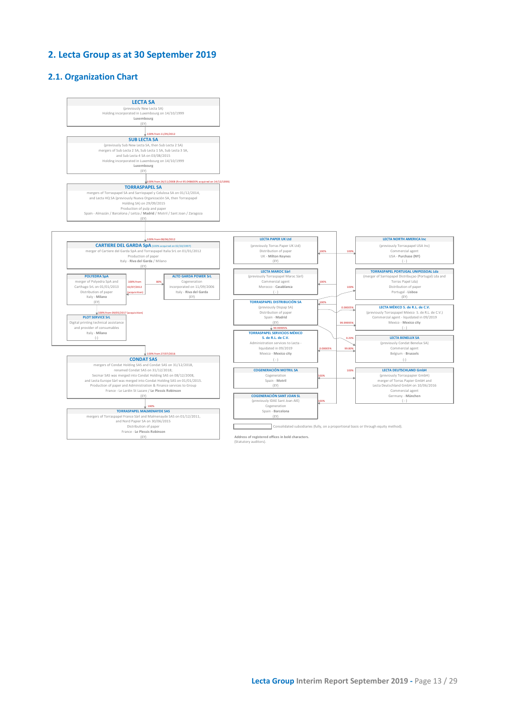# <span id="page-12-0"></span>**2. Lecta Group as at 30 September 2019**

### **2.1. Organization Chart**

<span id="page-12-1"></span>

(Statutory auditors).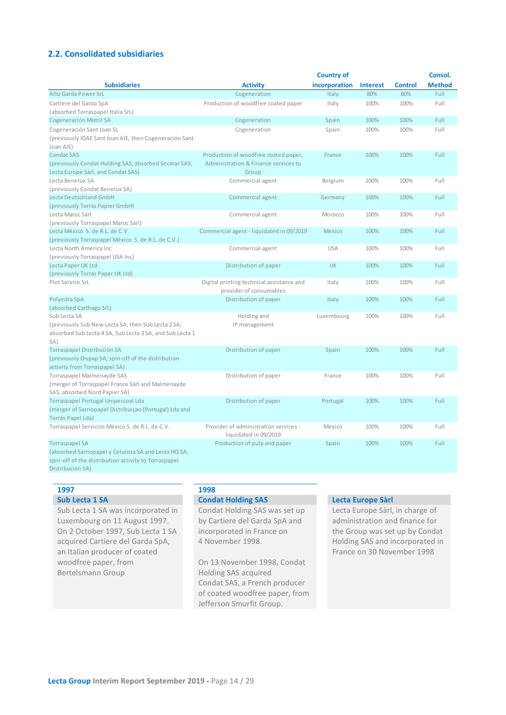# <span id="page-13-0"></span>**2.2. Consolidated subsidiaries**

|                                                                                                                                                           |                                                                                       | <b>Country of</b> |                 |                | Consol.       |
|-----------------------------------------------------------------------------------------------------------------------------------------------------------|---------------------------------------------------------------------------------------|-------------------|-----------------|----------------|---------------|
| <b>Subsidiaries</b>                                                                                                                                       | <b>Activity</b>                                                                       | incorporation     | <b>Interest</b> | <b>Control</b> | <b>Method</b> |
| Alto Garda Power SrL                                                                                                                                      | Cogeneration                                                                          | Italy             | 80%             | 80%            | Full          |
| Cartiere del Garda SpA<br>(absorbed Torraspapel Italia SrL)                                                                                               | Production of woodfree coated paper                                                   | Italy             | 100%            | 100%           | Full          |
| Cogeneración Motril SA                                                                                                                                    | Cogeneration                                                                          | Spain             | 100%            | 100%           | Full          |
| Cogeneración Sant Joan SL                                                                                                                                 | Cogeneration                                                                          | Spain             | 100%            | 100%           | Full          |
| (previously IDAE Sant Joan AIE, then Cogeneración Sant<br>Joan AIE)                                                                                       |                                                                                       |                   |                 |                |               |
| <b>Condat SAS</b><br>(previously Condat Holding SAS; absorbed Secmar SAS,<br>Lecta Europe Sàrl, and Condat SAS)                                           | Production of woodfree coated paper,<br>Administration & Finance services to<br>Group | France            | 100%            | 100%           | Full          |
| Lecta Benelux SA<br>(previously Condat Benelux SA)                                                                                                        | Commercial agent                                                                      | Belgium           | 100%            | 100%           | Full          |
| Lecta Deutschland GmbH<br>(previously Torras Papier GmbH)                                                                                                 | Commercial agent                                                                      | Germany           | 100%            | 100%           | Full          |
| Lecta Maroc Sàrl<br>(previously Torraspapel Maroc Sàrl)                                                                                                   | Commercial agent                                                                      | Morocco           | 100%            | 100%           | Full          |
| Lecta México S. de R.L. de C.V.<br>(previously Torraspapel México S. de R.L. de C.V.)                                                                     | Commercial agent - liquidated in 09/2019                                              | Mexico            | 100%            | 100%           | Full          |
| Lecta North America Inc<br>(previously Torraspapel USA Inc)                                                                                               | Commercial agent                                                                      | <b>USA</b>        | 100%            | 100%           | Full          |
| Lecta Paper UK Ltd                                                                                                                                        | Distribution of paper                                                                 | <b>UK</b>         | 100%            | 100%           | Full          |
| (previously Torras Paper UK Ltd)<br>Plot Service SrL                                                                                                      | Digital printing technical assistance and<br>provider of consumables                  | Italy             | 100%            | 100%           | Full          |
| Polyedra SpA                                                                                                                                              | Distribution of paper                                                                 | Italy             | 100%            | 100%           | Full          |
| (absorbed Carthago SrL)                                                                                                                                   |                                                                                       |                   |                 |                |               |
| Sub Lecta SA<br>(previously Sub New Lecta SA, then Sub Lecta 2 SA;<br>absorbed Sub Lecta 4 SA, Sub Lecta 3 SA, and Sub Lecta 1<br>SA)                     | Holding and<br>IP management                                                          | Luxembourg        | 100%            | 100%           | Full          |
| Torraspapel Distribución SA<br>(previously Dispap SA; spin-off of the distribution<br>activity from Torraspapel SA)                                       | Distribution of paper                                                                 | Spain             | 100%            | 100%           | Full          |
| Torraspapel Malmenayde SAS<br>(merger of Torraspapel France Sàrl and Malmenayde<br>SAS, absorbed Nord Papier SA)                                          | Distribution of paper                                                                 | France            | 100%            | 100%           | Full          |
| <b>Torraspapel Portugal Unipessoal Lda</b><br>(merger of Sarriopapel Distribuiçao (Portugal) Lda and<br><b>Torras Papel Lda)</b>                          | Distribution of paper                                                                 | Portugal          | 100%            | 100%           | Full          |
| Torraspapel Servicios México S. de R.L. de C.V.                                                                                                           | Provider of administration services -<br>liquidated in 09/2019                        | Mexico            | 100%            | 100%           | Full          |
| <b>Torraspapel SA</b><br>(absorbed Sarriopapel y Celulosa SA and Lecta HQ SA;<br>spin-off of the distribution activity to Torraspapel<br>Distribución SA) | Production of pulp and paper                                                          | Spain             | 100%            | 100%           | Full          |

**1997 1998**

Sub Lecta 1 SA was incorporated in Luxembourg on 11 August 1997. On 2 October 1997, Sub Lecta 1 SA acquired Cartiere del Garda SpA, an Italian producer of coated woodfree paper, from Bertelsmann Group

### **Sub Lecta 1 SA Condat Holding SAS Lecta Europe Sàrl**

Condat Holding SAS was set up by Cartiere del Garda SpA and incorporated in France on 4 November 1998.

On 13 November 1998, Condat Holding SAS acquired Condat SAS, a French producer of coated woodfree paper, from Jefferson Smurfit Group.

Lecta Europe Sàrl, in charge of administration and finance for the Group was set up by Condat Holding SAS and incorporated in France on 30 November 1998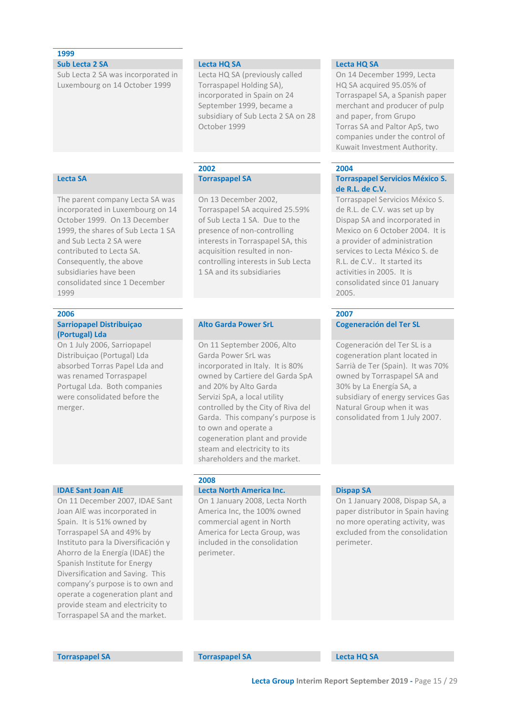# **1999**

**Sub Lecta 2 SA Lecta HQ SA Lecta HQ SA**

Sub Lecta 2 SA was incorporated in Luxembourg on 14 October 1999

The parent company Lecta SA was incorporated in Luxembourg on 14 October 1999. On 13 December 1999, the shares of Sub Lecta 1 SA

and Sub Lecta 2 SA were contributed to Lecta SA. Consequently, the above subsidiaries have been

**Sarriopapel Distribuiçao** 

On 1 July 2006, Sarriopapel Distribuiçao (Portugal) Lda absorbed Torras Papel Lda and was renamed Torraspapel Portugal Lda. Both companies were consolidated before the

**(Portugal) Lda**

merger.

1999

consolidated since 1 December

Lecta HQ SA (previously called Torraspapel Holding SA), incorporated in Spain on 24 September 1999, became a subsidiary of Sub Lecta 2 SA on 28 October 1999

On 13 December 2002, Torraspapel SA acquired 25.59% of Sub Lecta 1 SA. Due to the presence of non-controlling interests in Torraspapel SA, this acquisition resulted in noncontrolling interests in Sub Lecta 1 SA and its subsidiaries

### **Alto Garda Power SrL Cogeneración del Ter SL**

On 11 September 2006, Alto Garda Power SrL was incorporated in Italy. It is 80% owned by Cartiere del Garda SpA and 20% by Alto Garda Servizi SpA, a local utility controlled by the City of Riva del Garda. This company's purpose is to own and operate a cogeneration plant and provide steam and electricity to its shareholders and the market.

On 11 December 2007, IDAE Sant Joan AIE was incorporated in Spain. It is 51% owned by Torraspapel SA and 49% by Instituto para la Diversificación y Ahorro de la Energía (IDAE) the Spanish Institute for Energy Diversification and Saving. This company's purpose is to own and operate a cogeneration plant and provide steam and electricity to Torraspapel SA and the market.

# **2008**

### **IDAE Sant Joan AIE Lecta North America Inc. Dispap SA**

On 1 January 2008, Lecta North America Inc, the 100% owned commercial agent in North America for Lecta Group, was included in the consolidation perimeter.

On 14 December 1999, Lecta HQ SA acquired 95.05% of Torraspapel SA, a Spanish paper merchant and producer of pulp and paper, from Grupo Torras SA and Paltor ApS, two companies under the control of Kuwait Investment Authority.

### **2002 2004**

### **Lecta SA Torraspapel SA Torraspapel Servicios México S. de R.L. de C.V.**

Torraspapel Servicios México S. de R.L. de C.V. was set up by Dispap SA and incorporated in Mexico on 6 October 2004. It is a provider of administration services to Lecta México S. de R.L. de C.V.. It started its activities in 2005. It is consolidated since 01 January 2005.

### **2006 2007**

Cogeneración del Ter SL is a cogeneration plant located in Sarrià de Ter (Spain). It was 70% owned by Torraspapel SA and 30% by La Energía SA, a subsidiary of energy services Gas Natural Group when it was consolidated from 1 July 2007.

On 1 January 2008, Dispap SA, a paper distributor in Spain having no more operating activity, was excluded from the consolidation perimeter.

**Torraspapel SA Torraspapel SA Lecta HQ SA**

**Lecta Group Interim Report September 2019 -** Page 15 / 29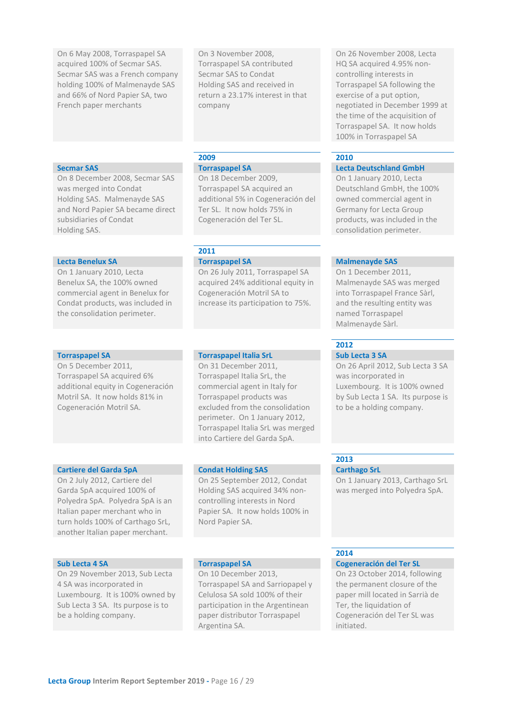On 6 May 2008, Torraspapel SA acquired 100% of Secmar SAS. Secmar SAS was a French company holding 100% of Malmenayde SAS and 66% of Nord Papier SA, two French paper merchants

On 3 November 2008, Torraspapel SA contributed Secmar SAS to Condat Holding SAS and received in return a 23.17% interest in that company

On 8 December 2008, Secmar SAS was merged into Condat Holding SAS. Malmenayde SAS and Nord Papier SA became direct subsidiaries of Condat Holding SAS.

### **Lecta Benelux SA Torraspapel SA Malmenayde SAS**

On 1 January 2010, Lecta Benelux SA, the 100% owned commercial agent in Benelux for Condat products, was included in the consolidation perimeter.

On 5 December 2011, Torraspapel SA acquired 6% additional equity in Cogeneración Motril SA. It now holds 81% in Cogeneración Motril SA.

### **2009 2010**

On 18 December 2009, Torraspapel SA acquired an additional 5% in Cogeneración del Ter SL. It now holds 75% in Cogeneración del Ter SL.

### **2011**

On 26 July 2011, Torraspapel SA acquired 24% additional equity in Cogeneración Motril SA to increase its participation to 75%.

### **Torraspapel SA Torraspapel Italia SrL Sub Lecta 3 SA**

On 31 December 2011, Torraspapel Italia SrL, the commercial agent in Italy for Torraspapel products was excluded from the consolidation perimeter. On 1 January 2012, Torraspapel Italia SrL was merged into Cartiere del Garda SpA.

On 25 September 2012, Condat Holding SAS acquired 34% noncontrolling interests in Nord Papier SA. It now holds 100% in

### **Cartiere del Garda SpA Condat Holding SAS Carthago SrL**

On 2 July 2012, Cartiere del Garda SpA acquired 100% of Polyedra SpA. Polyedra SpA is an Italian paper merchant who in turn holds 100% of Carthago SrL, another Italian paper merchant.

On 29 November 2013, Sub Lecta 4 SA was incorporated in Luxembourg. It is 100% owned by Sub Lecta 3 SA. Its purpose is to be a holding company.

### Nord Papier SA.

On 10 December 2013, Torraspapel SA and Sarriopapel y Celulosa SA sold 100% of their participation in the Argentinean paper distributor Torraspapel Argentina SA.

On 26 November 2008, Lecta HQ SA acquired 4.95% noncontrolling interests in Torraspapel SA following the exercise of a put option, negotiated in December 1999 at the time of the acquisition of Torraspapel SA. It now holds 100% in Torraspapel SA

### **Secmar SAS Torraspapel SA Lecta Deutschland GmbH**

On 1 January 2010, Lecta Deutschland GmbH, the 100% owned commercial agent in Germany for Lecta Group products, was included in the consolidation perimeter.

On 1 December 2011, Malmenayde SAS was merged into Torraspapel France Sàrl, and the resulting entity was named Torraspapel Malmenayde Sàrl.

# **2012**

On 26 April 2012, Sub Lecta 3 SA was incorporated in Luxembourg. It is 100% owned by Sub Lecta 1 SA. Its purpose is to be a holding company.

# **2013**

On 1 January 2013, Carthago SrL was merged into Polyedra SpA.

# **2014**

# **Sub Lecta 4 SA Torraspapel SA Cogeneración del Ter SL**

On 23 October 2014, following the permanent closure of the paper mill located in Sarrià de Ter, the liquidation of Cogeneración del Ter SL was initiated.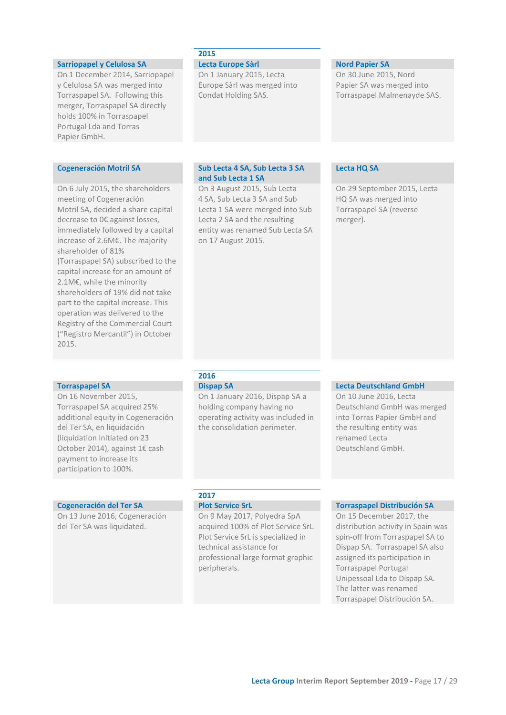### **2015 Sarriopapel y Celulosa SA Lecta Europe Sàrl Nord Papier SA** On 1 December 2014, Sarriopapel y Celulosa SA was merged into Torraspapel SA. Following this merger, Torraspapel SA directly holds 100% in Torraspapel Portugal Lda and Torras Papier GmbH. On 1 January 2015, Lecta Europe Sàrl was merged into Condat Holding SAS. On 30 June 2015, Nord Papier SA was merged into Torraspapel Malmenayde SAS. **Cogeneración Motril SA Sub Lecta 4 SA, Sub Lecta 3 SA and Sub Lecta 1 SA Lecta HQ SA** On 6 July 2015, the shareholders meeting of Cogeneración Motril SA, decided a share capital decrease to 0€ against losses, immediately followed by a capital increase of 2.6M€. The majority shareholder of 81% (Torraspapel SA) subscribed to the capital increase for an amount of 2.1M€, while the minority shareholders of 19% did not take part to the capital increase. This operation was delivered to the Registry of the Commercial Court ("Registro Mercantil") in October 2015. On 3 August 2015, Sub Lecta 4 SA, Sub Lecta 3 SA and Sub Lecta 1 SA were merged into Sub Lecta 2 SA and the resulting entity was renamed Sub Lecta SA on 17 August 2015. On 29 September 2015, Lecta HQ SA was merged into Torraspapel SA (reverse merger).

On 16 November 2015, Torraspapel SA acquired 25% additional equity in Cogeneración del Ter SA, en liquidación (liquidation initiated on 23 October 2014), against 1€ cash payment to increase its participation to 100%.

On 13 June 2016, Cogeneración del Ter SA was liquidated.

# **2016**

On 1 January 2016, Dispap SA a holding company having no operating activity was included in the consolidation perimeter.

### **Torraspapel SA Dispap SA Dispap SA Lecta Deutschland GmbH**

On 10 June 2016, Lecta Deutschland GmbH was merged into Torras Papier GmbH and the resulting entity was renamed Lecta Deutschland GmbH.

# **2017**

On 9 May 2017, Polyedra SpA acquired 100% of Plot Service SrL. Plot Service SrL is specialized in technical assistance for professional large format graphic peripherals.

### **Cogeneración del Ter SA Plot Service SrL Torraspapel Distribución SA**

On 15 December 2017, the distribution activity in Spain was spin-off from Torraspapel SA to Dispap SA. Torraspapel SA also assigned its participation in Torraspapel Portugal Unipessoal Lda to Dispap SA. The latter was renamed Torraspapel Distribución SA.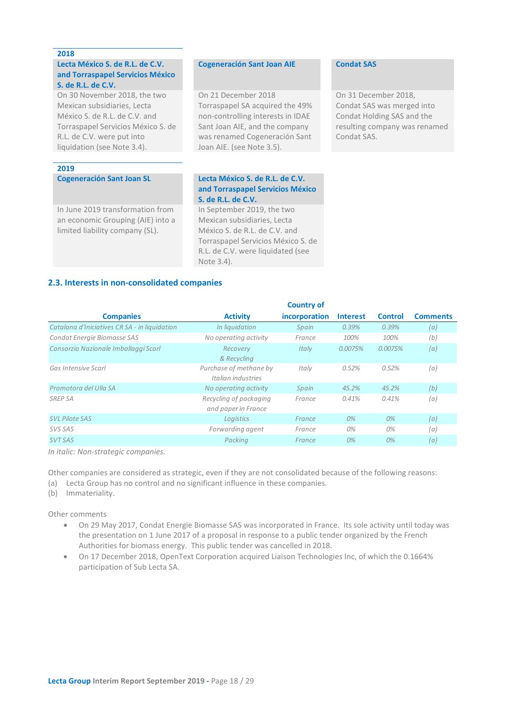### **2018**

### **Lecta México S. de R.L. de C.V. and Torraspapel Servicios México S. de R.L. de C.V.**

On 30 November 2018, the two Mexican subsidiaries, Lecta México S. de R.L. de C.V. and Torraspapel Servicios México S. de R.L. de C.V. were put into liquidation (see Note 3.4).

### **2019**

**Cogeneración Sant Joan SL Lecta México S. de R.L. de C.V.** 

In June 2019 transformation from an economic Grouping (AIE) into a limited liability company (SL).

### **Cogeneración Sant Joan AIE Condat SAS**

On 21 December 2018 Torraspapel SA acquired the 49% non-controlling interests in IDAE Sant Joan AIE, and the company was renamed Cogeneración Sant Joan AIE. (see Note 3.5).

On 31 December 2018, Condat SAS was merged into Condat Holding SAS and the resulting company was renamed Condat SAS.

# **and Torraspapel Servicios México S. de R.L. de C.V.**

<span id="page-17-0"></span>In September 2019, the two Mexican subsidiaries, Lecta México S. de R.L. de C.V. and Torraspapel Servicios México S. de R.L. de C.V. were liquidated (see Note 3.4).

### **2.3. Interests in non-consolidated companies**

|                                               |                                               | <b>Country of</b> |                 |                |                 |
|-----------------------------------------------|-----------------------------------------------|-------------------|-----------------|----------------|-----------------|
| <b>Companies</b>                              | <b>Activity</b>                               | incorporation     | <b>Interest</b> | <b>Control</b> | <b>Comments</b> |
| Catalana d'Iniciatives CR SA - in liquidation | In liquidation                                | Spain             | 0.39%           | 0.39%          | (a)             |
| Condat Energie Biomasse SAS                   | No operating activity                         | France            | 100%            | 100%           | (b)             |
| Consorzio Nazionale Imballaggi Scarl          | Recovery<br>& Recycling                       | Italy             | 0.0075%         | 0.0075%        | (a)             |
| Gas Intensive Scarl                           | Purchase of methane by<br>Italian industries  | Italy             | 0.52%           | 0.52%          | (a)             |
| Promotora del Ulla SA                         | No operating activity                         | Spain             | 45.2%           | 45.2%          | (b)             |
| <b>SREP SA</b>                                | Recycling of packaging<br>and paper in France | France            | 0.41%           | 0.41%          | (a)             |
| <b>SVL Pilote SAS</b>                         | Logistics                                     | France            | $O\%$           | 0%             | (a)             |
| SVS SAS                                       | Forwarding agent                              | France            | 0%              | 0%             | (a)             |
| <b>SVT SAS</b>                                | Packina                                       | France            | 0%              | 0%             | (a)             |

*In italic: Non-strategic companies.*

Other companies are considered as strategic, even if they are not consolidated because of the following reasons:

(a) Lecta Group has no control and no significant influence in these companies.

(b) Immateriality.

Other comments

- On 29 May 2017, Condat Energie Biomasse SAS was incorporated in France. Its sole activity until today was the presentation on 1 June 2017 of a proposal in response to a public tender organized by the French Authorities for biomass energy. This public tender was cancelled in 2018.
- On 17 December 2018, OpenText Corporation acquired Liaison Technologies Inc, of which the 0.1664% participation of Sub Lecta SA.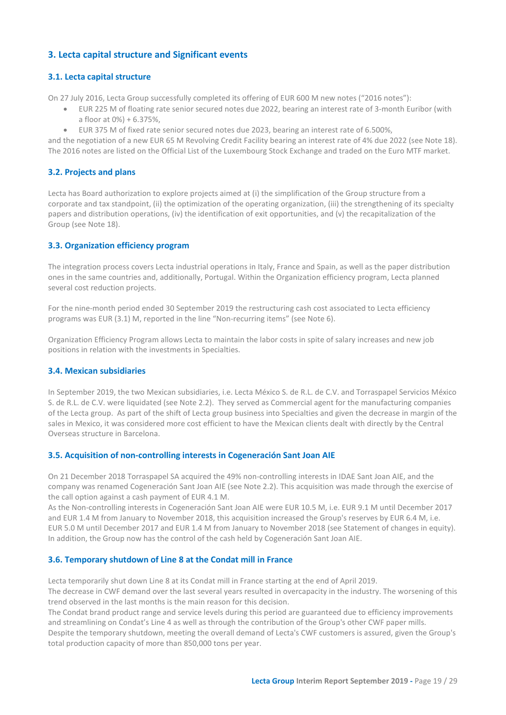# **3. Lecta capital structure and Significant events**

# **3.1. Lecta capital structure**

On 27 July 2016, Lecta Group successfully completed its offering of EUR 600 M new notes ("2016 notes"):

- <span id="page-18-1"></span><span id="page-18-0"></span>• EUR 225 M of floating rate senior secured notes due 2022, bearing an interest rate of 3-month Euribor (with a floor at 0%) + 6.375%,
- <span id="page-18-2"></span>• EUR 375 M of fixed rate senior secured notes due 2023, bearing an interest rate of 6.500%,

and the negotiation of a new EUR 65 M Revolving Credit Facility bearing an interest rate of 4% due 2022 (see Note 18). The 2016 notes are listed on the Official List of the Luxembourg Stock Exchange and traded on the Euro MTF market.

# **3.2. Projects and plans**

Lecta has Board authorization to explore projects aimed at (i) the simplification of the Group structure from a corporate and tax standpoint, (ii) the optimization of the operating organization, (iii) the strengthening of its specialty papers and distribution operations, (iv) the identification of exit opportunities, and (v) the recapitalization of the Group (see Note 18).

# <span id="page-18-3"></span>**3.3. Organization efficiency program**

The integration process covers Lecta industrial operations in Italy, France and Spain, as well as the paper distribution ones in the same countries and, additionally, Portugal. Within the Organization efficiency program, Lecta planned several cost reduction projects.

For the nine-month period ended 30 September 2019 the restructuring cash cost associated to Lecta efficiency programs was EUR (3.1) M, reported in the line "Non-recurring items" (see Note 6).

Organization Efficiency Program allows Lecta to maintain the labor costs in spite of salary increases and new job positions in relation with the investments in Specialties.

# <span id="page-18-4"></span>**3.4. Mexican subsidiaries**

In September 2019, the two Mexican subsidiaries, i.e. Lecta México S. de R.L. de C.V. and Torraspapel Servicios México S. de R.L. de C.V. were liquidated (see Note 2.2). They served as Commercial agent for the manufacturing companies of the Lecta group. As part of the shift of Lecta group business into Specialties and given the decrease in margin of the sales in Mexico, it was considered more cost efficient to have the Mexican clients dealt with directly by the Central Overseas structure in Barcelona.

# <span id="page-18-5"></span>**3.5. Acquisition of non-controlling interests in Cogeneración Sant Joan AIE**

On 21 December 2018 Torraspapel SA acquired the 49% non-controlling interests in IDAE Sant Joan AIE, and the company was renamed Cogeneración Sant Joan AIE (see Note 2.2). This acquisition was made through the exercise of the call option against a cash payment of EUR 4.1 M.

As the Non-controlling interests in Cogeneración Sant Joan AIE were EUR 10.5 M, i.e. EUR 9.1 M until December 2017 and EUR 1.4 M from January to November 2018, this acquisition increased the Group's reserves by EUR 6.4 M, i.e. EUR 5.0 M until December 2017 and EUR 1.4 M from January to November 2018 (see Statement of changes in equity). In addition, the Group now has the control of the cash held by Cogeneración Sant Joan AIE.

# <span id="page-18-6"></span>**3.6. Temporary shutdown of Line 8 at the Condat mill in France**

Lecta temporarily shut down Line 8 at its Condat mill in France starting at the end of April 2019. The decrease in CWF demand over the last several years resulted in overcapacity in the industry. The worsening of this trend observed in the last months is the main reason for this decision.

The Condat brand product range and service levels during this period are guaranteed due to efficiency improvements and streamlining on Condat's Line 4 as well as through the contribution of the Group's other CWF paper mills. Despite the temporary shutdown, meeting the overall demand of Lecta's CWF customers is assured, given the Group's total production capacity of more than 850,000 tons per year.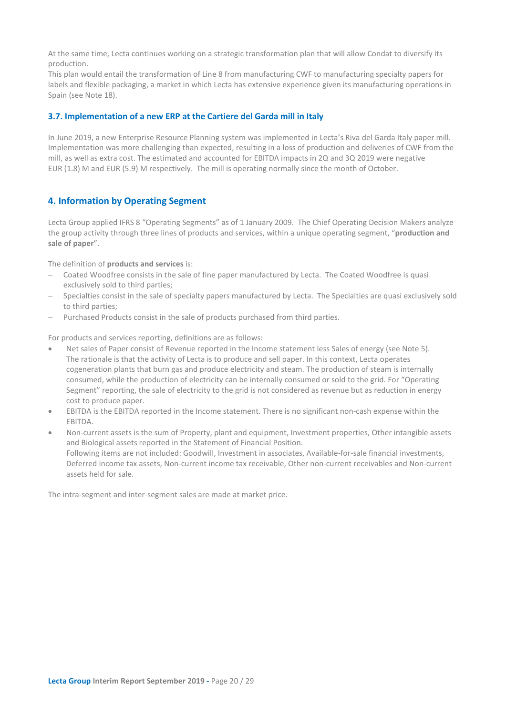At the same time, Lecta continues working on a strategic transformation plan that will allow Condat to diversify its production.

This plan would entail the transformation of Line 8 from manufacturing CWF to manufacturing specialty papers for labels and flexible packaging, a market in which Lecta has extensive experience given its manufacturing operations in Spain (see Note 18).

### <span id="page-19-0"></span>**3.7. Implementation of a new ERP at the Cartiere del Garda mill in Italy**

In June 2019, a new Enterprise Resource Planning system was implemented in Lecta's Riva del Garda Italy paper mill. Implementation was more challenging than expected, resulting in a loss of production and deliveries of CWF from the mill, as well as extra cost. The estimated and accounted for EBITDA impacts in 2Q and 3Q 2019 were negative EUR (1.8) M and EUR (5.9) M respectively. The mill is operating normally since the month of October.

# <span id="page-19-1"></span>**4. Information by Operating Segment**

Lecta Group applied IFRS 8 "Operating Segments" as of 1 January 2009. The Chief Operating Decision Makers analyze the group activity through three lines of products and services, within a unique operating segment, "**production and sale of paper**".

The definition of **products and services** is:

- − Coated Woodfree consists in the sale of fine paper manufactured by Lecta. The Coated Woodfree is quasi exclusively sold to third parties;
- Specialties consist in the sale of specialty papers manufactured by Lecta. The Specialties are quasi exclusively sold to third parties;
- − Purchased Products consist in the sale of products purchased from third parties.

For products and services reporting, definitions are as follows:

- Net sales of Paper consist of Revenue reported in the Income statement less Sales of energy (see Note 5). The rationale is that the activity of Lecta is to produce and sell paper. In this context, Lecta operates cogeneration plants that burn gas and produce electricity and steam. The production of steam is internally consumed, while the production of electricity can be internally consumed or sold to the grid. For "Operating Segment" reporting, the sale of electricity to the grid is not considered as revenue but as reduction in energy cost to produce paper.
- EBITDA is the EBITDA reported in the Income statement. There is no significant non-cash expense within the EBITDA.
- Non-current assets is the sum of Property, plant and equipment, Investment properties, Other intangible assets and Biological assets reported in the Statement of Financial Position. Following items are not included: Goodwill, Investment in associates, Available-for-sale financial investments, Deferred income tax assets, Non-current income tax receivable, Other non-current receivables and Non-current assets held for sale.

The intra-segment and inter-segment sales are made at market price.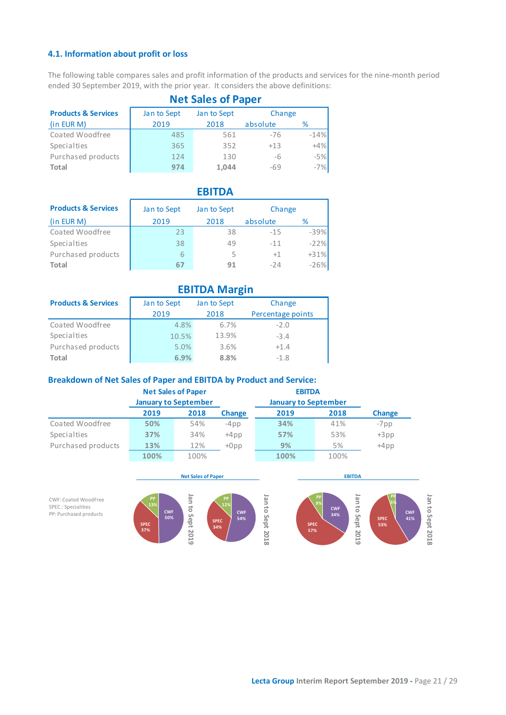# **4.1. Information about profit or loss**

The following table compares sales and profit information of the products and services for the nine-month period ended 30 September 2019, with the prior year. It considers the above definitions:

|                                | <b>Net Sales of Paper</b> |             |          |        |  |  |
|--------------------------------|---------------------------|-------------|----------|--------|--|--|
| <b>Products &amp; Services</b> | Jan to Sept               | Jan to Sept | Change   |        |  |  |
| (in EUR M)                     | 2019                      | 2018        | absolute | %      |  |  |
| Coated Woodfree                | 485                       | 561         | $-76$    | $-14%$ |  |  |
| Specialties                    | 365                       | 352         | $+13$    | $+4%$  |  |  |
| Purchased products             | 124                       | 130         | -6       | $-5%$  |  |  |
| Total                          | 974                       | 1,044       | $-69$    | $-7%$  |  |  |

|                                |             | <b>EBITDA</b> |          |        |
|--------------------------------|-------------|---------------|----------|--------|
| <b>Products &amp; Services</b> | Jan to Sept | Jan to Sept   | Change   |        |
| (in EUR M)                     | 2019        | 2018          | absolute | ℅      |
| Coated Woodfree                | 23          | 38            | $-15$    | $-39%$ |
| Specialties                    | 38          | 49            | $-11$    | $-22%$ |
| Purchased products             | 6           |               | $+1$     | $+31%$ |
| Total                          | ь.          | 91            | $-24$    | $-26%$ |

|                                | <b>EBITDA Margin</b> |             |                   |  |  |  |
|--------------------------------|----------------------|-------------|-------------------|--|--|--|
| <b>Products &amp; Services</b> | Jan to Sept          | Jan to Sept | Change            |  |  |  |
|                                | 2019                 | 2018        | Percentage points |  |  |  |
| Coated Woodfree                | 4.8%                 | 6.7%        | $-2.0$            |  |  |  |
| Specialties                    | 10.5%                | 13.9%       | $-3.4$            |  |  |  |
| Purchased products             | 5.0%                 | 3.6%        | $+1.4$            |  |  |  |
| <b>Total</b>                   | 6.9%                 | 8.8%        | $-1.8$            |  |  |  |

# **Breakdown of Net Sales of Paper and EBITDA by Product and Service:**

|                    |      | <b>Net Sales of Paper</b>   |               | <b>EBITDA</b>               |      |               |
|--------------------|------|-----------------------------|---------------|-----------------------------|------|---------------|
|                    |      | <b>January to September</b> |               | <b>January to September</b> |      |               |
|                    | 2019 | 2018                        | <b>Change</b> | 2019                        | 2018 | <b>Change</b> |
| Coated Woodfree    | 50%  | 54%                         | $-4$ pp       | 34%                         | 41%  | $-7$ pp       |
| Specialties        | 37%  | 34%                         | $+4$ pp       | 57%                         | 53%  | $+3pp$        |
| Purchased products | 13%  | 12%                         | $+0$ pp       | 9%                          | 5%   | $+4pp$        |
|                    | 100% | 100%                        |               | 100%                        | 100% |               |



# <span id="page-20-0"></span>**Net Sales of Paper**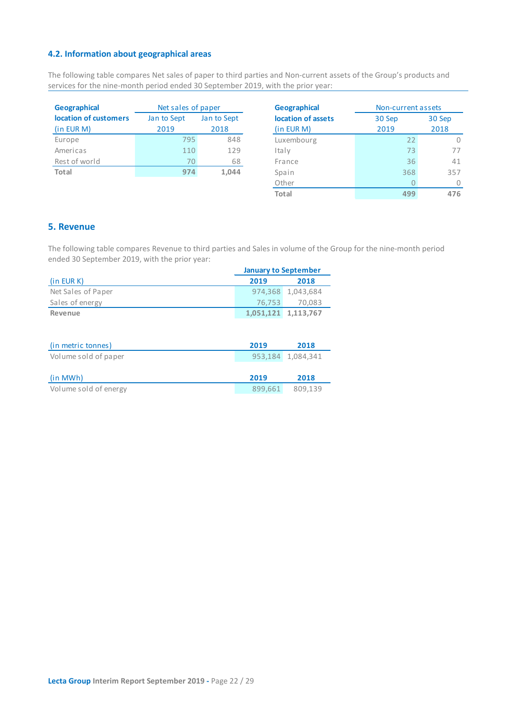# **4.2. Information about geographical areas**

The following table compares Net sales of paper to third parties and Non-current assets of the Group's products and services for the nine-month period ended 30 September 2019, with the prior year:

| <b>Geographical</b>   | Net sales of paper | <b>Geographical</b> |                |
|-----------------------|--------------------|---------------------|----------------|
| location of customers | Jan to Sept        | Jan to Sept         | location of as |
| (in EUR M)            | 2019               | 2018                | (in EUR M)     |
| Europe                | 795                | 848                 | Luxembourg     |
| Americas              | 110                | 129                 | Italy          |
| Rest of world         | 70                 | 68                  | France         |
| Total                 | 974                | 1,044               | Spain          |

<span id="page-21-0"></span>

| <b>Geographical</b> | Non-current assets |      |  |  |
|---------------------|--------------------|------|--|--|
| location of assets  | 30 Sep<br>30 Sep   |      |  |  |
| (in EUR M)          | 2019               | 2018 |  |  |
| Luxembourg          | 22                 |      |  |  |
| Italy               | 73                 | 77   |  |  |
| France              | 36                 | 41   |  |  |
| Spain               | 368                | 357  |  |  |
| Other               |                    |      |  |  |
| <b>Total</b>        | 499                |      |  |  |

# <span id="page-21-1"></span>**5. Revenue**

The following table compares Revenue to third parties and Sales in volume of the Group for the nine-month period ended 30 September 2019, with the prior year:

|                       | <b>January to September</b> |           |  |
|-----------------------|-----------------------------|-----------|--|
| (in EUR K)            | 2019                        | 2018      |  |
| Net Sales of Paper    | 974,368                     | 1,043,684 |  |
| Sales of energy       | 76,753                      | 70,083    |  |
| Revenue               | 1,051,121                   | 1,113,767 |  |
|                       |                             |           |  |
|                       |                             |           |  |
| (in metric tonnes)    | 2019                        | 2018      |  |
| Volume sold of paper  | 953,184                     | 1,084,341 |  |
|                       |                             |           |  |
| (in MWh)              | 2019                        | 2018      |  |
| Volume sold of energy | 899.661                     | 809,139   |  |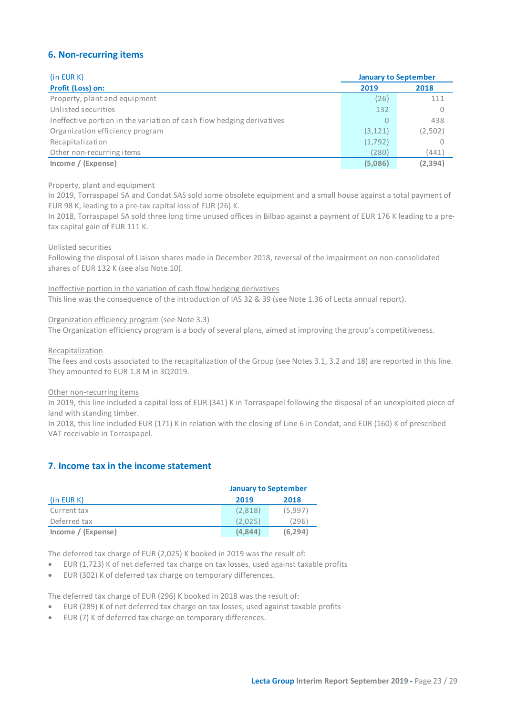# <span id="page-22-0"></span>**6. Non-recurring items**

| (in EUR K)<br><b>January to September</b>                             |          |          |
|-----------------------------------------------------------------------|----------|----------|
| Profit (Loss) on:                                                     | 2019     | 2018     |
| Property, plant and equipment                                         | (26)     | 111      |
| Unlisted securities                                                   | 132      |          |
| Ineffective portion in the variation of cash flow hedging derivatives | 0        | 438      |
| Organization efficiency program                                       | (3, 121) | (2,502)  |
| Recapitalization                                                      | (1,792)  |          |
| Other non-recurring items                                             | (280)    | (441)    |
| Income / (Expense)                                                    | (5,086)  | (2, 394) |

### Property, plant and equipment

In 2019, Torraspapel SA and Condat SAS sold some obsolete equipment and a small house against a total payment of EUR 98 K, leading to a pre-tax capital loss of EUR (26) K.

In 2018, Torraspapel SA sold three long time unused offices in Bilbao against a payment of EUR 176 K leading to a pretax capital gain of EUR 111 K.

### Unlisted securities

Following the disposal of Liaison shares made in December 2018, reversal of the impairment on non-consolidated shares of EUR 132 K (see also Note 10).

Ineffective portion in the variation of cash flow hedging derivatives This line was the consequence of the introduction of IAS 32 & 39 (see Note 1.36 of Lecta annual report).

Organization efficiency program (see Note 3.3)

The Organization efficiency program is a body of several plans, aimed at improving the group's competitiveness.

### Recapitalization

The fees and costs associated to the recapitalization of the Group (see Notes 3.1, 3.2 and 18) are reported in this line. They amounted to EUR 1.8 M in 3Q2019.

### Other non-recurring items

In 2019, this line included a capital loss of EUR (341) K in Torraspapel following the disposal of an unexploited piece of land with standing timber.

In 2018, this line included EUR (171) K in relation with the closing of Line 6 in Condat, and EUR (160) K of prescribed VAT receivable in Torraspapel.

# <span id="page-22-1"></span>**7. Income tax in the income statement**

|                    | <b>January to September</b> |          |  |
|--------------------|-----------------------------|----------|--|
| (in EUR K)         | 2019                        | 2018     |  |
| Current tax        | (2,818)                     | (5.997)  |  |
| Deferred tax       | (2.025                      | (296)    |  |
| income / (Expense) | (4.844)                     | (6, 294) |  |

The deferred tax charge of EUR (2,025) K booked in 2019 was the result of:

- EUR (1,723) K of net deferred tax charge on tax losses, used against taxable profits
- EUR (302) K of deferred tax charge on temporary differences.

The deferred tax charge of EUR (296) K booked in 2018 was the result of:

- EUR (289) K of net deferred tax charge on tax losses, used against taxable profits
- EUR (7) K of deferred tax charge on temporary differences.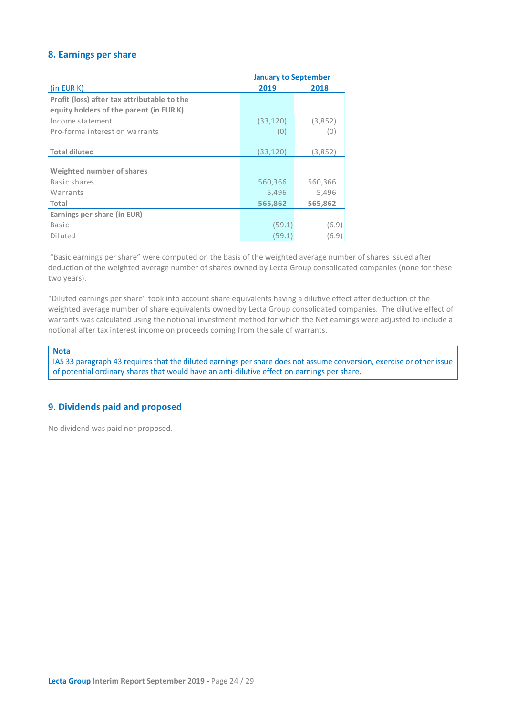# <span id="page-23-0"></span>**8. Earnings per share**

|                                             | <b>January to September</b> |         |  |
|---------------------------------------------|-----------------------------|---------|--|
| $(in$ EUR $K)$                              | 2019                        | 2018    |  |
| Profit (loss) after tax attributable to the |                             |         |  |
| equity holders of the parent (in EUR K)     |                             |         |  |
| Income statement                            | (33,120)                    | (3,852) |  |
| Pro-forma interest on warrants              | (0)                         | (0)     |  |
|                                             |                             |         |  |
| <b>Total diluted</b>                        | (33,120)                    | (3,852) |  |
| Weighted number of shares                   |                             |         |  |
| Basic shares                                | 560,366                     | 560,366 |  |
| Warrants                                    | 5,496                       | 5,496   |  |
| Total                                       | 565,862                     | 565,862 |  |
| Earnings per share (in EUR)                 |                             |         |  |
| Basic                                       | (59.1)                      | (6.9)   |  |
| Diluted                                     | (59.1)                      | (6.9)   |  |

"Basic earnings per share" were computed on the basis of the weighted average number of shares issued after deduction of the weighted average number of shares owned by Lecta Group consolidated companies (none for these two years).

"Diluted earnings per share" took into account share equivalents having a dilutive effect after deduction of the weighted average number of share equivalents owned by Lecta Group consolidated companies. The dilutive effect of warrants was calculated using the notional investment method for which the Net earnings were adjusted to include a notional after tax interest income on proceeds coming from the sale of warrants.

### **Nota**

IAS 33 paragraph 43 requires that the diluted earnings per share does not assume conversion, exercise or other issue of potential ordinary shares that would have an anti-dilutive effect on earnings per share.

# <span id="page-23-1"></span>**9. Dividends paid and proposed**

No dividend was paid nor proposed.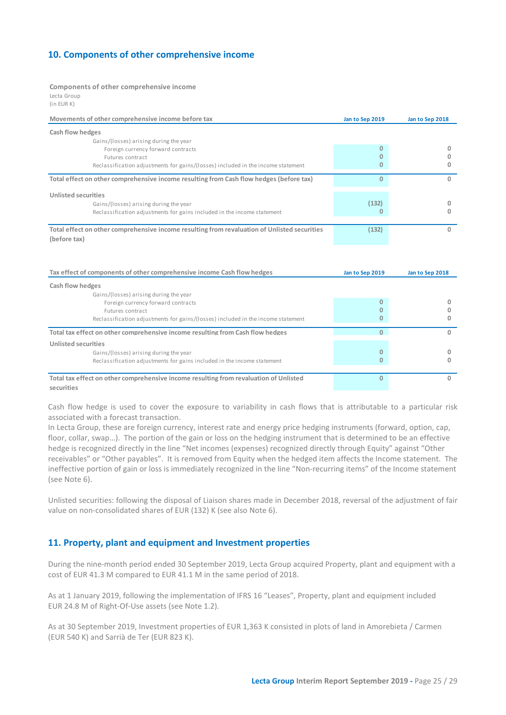# <span id="page-24-0"></span>**10. Components of other comprehensive income**

### **Components of other comprehensive income**

Lecta Group (in EUR K)

| Movements of other comprehensive income before tax                                           | Jan to Sep 2019 | Jan to Sep 2018 |
|----------------------------------------------------------------------------------------------|-----------------|-----------------|
| Cash flow hedges                                                                             |                 |                 |
| Gains/(losses) arising during the year                                                       |                 |                 |
| Foreign currency forward contracts                                                           | 0               |                 |
| Futures contract                                                                             |                 |                 |
| Reclassification adjustments for gains/(losses) included in the income statement             |                 |                 |
| Total effect on other comprehensive income resulting from Cash flow hedges (before tax)      | $\Omega$        |                 |
| Unlisted securities                                                                          |                 |                 |
| Gains/(losses) arising during the year                                                       | (132)           |                 |
| Reclassification adjustments for gains included in the income statement                      |                 |                 |
|                                                                                              |                 |                 |
| Total effect on other comprehensive income resulting from revaluation of Unlisted securities | (132)           |                 |
| (before tax)                                                                                 |                 |                 |
|                                                                                              |                 |                 |
|                                                                                              |                 |                 |

| Tax effect of components of other comprehensive income Cash flow hedges               | Jan to Sep 2019 | Jan to Sep 2018 |  |
|---------------------------------------------------------------------------------------|-----------------|-----------------|--|
| Cash flow hedges                                                                      |                 |                 |  |
| Gains/(losses) arising during the year                                                |                 |                 |  |
| Foreign currency forward contracts                                                    |                 |                 |  |
| Futures contract                                                                      |                 |                 |  |
| Reclassification adjustments for gains/(losses) included in the income statement      |                 |                 |  |
| Total tax effect on other comprehensive income resulting from Cash flow hedges        |                 |                 |  |
| <b>Unlisted securities</b>                                                            |                 |                 |  |
| Gains/(losses) arising during the year                                                | 0               |                 |  |
| Reclassification adjustments for gains included in the income statement               |                 |                 |  |
|                                                                                       |                 |                 |  |
| Total tax effect on other comprehensive income resulting from revaluation of Unlisted |                 |                 |  |
| securities                                                                            |                 |                 |  |

Cash flow hedge is used to cover the exposure to variability in cash flows that is attributable to a particular risk associated with a forecast transaction.

In Lecta Group, these are foreign currency, interest rate and energy price hedging instruments (forward, option, cap, floor, collar, swap…). The portion of the gain or loss on the hedging instrument that is determined to be an effective hedge is recognized directly in the line "Net incomes (expenses) recognized directly through Equity" against "Other receivables" or "Other payables". It is removed from Equity when the hedged item affects the Income statement. The ineffective portion of gain or loss is immediately recognized in the line "Non-recurring items" of the Income statement (see Note 6).

Unlisted securities: following the disposal of Liaison shares made in December 2018, reversal of the adjustment of fair value on non-consolidated shares of EUR (132) K (see also Note 6).

# <span id="page-24-1"></span>**11. Property, plant and equipment and Investment properties**

During the nine-month period ended 30 September 2019, Lecta Group acquired Property, plant and equipment with a cost of EUR 41.3 M compared to EUR 41.1 M in the same period of 2018.

As at 1 January 2019, following the implementation of IFRS 16 "Leases", Property, plant and equipment included EUR 24.8 M of Right-Of-Use assets (see Note 1.2).

As at 30 September 2019, Investment properties of EUR 1,363 K consisted in plots of land in Amorebieta / Carmen (EUR 540 K) and Sarrià de Ter (EUR 823 K).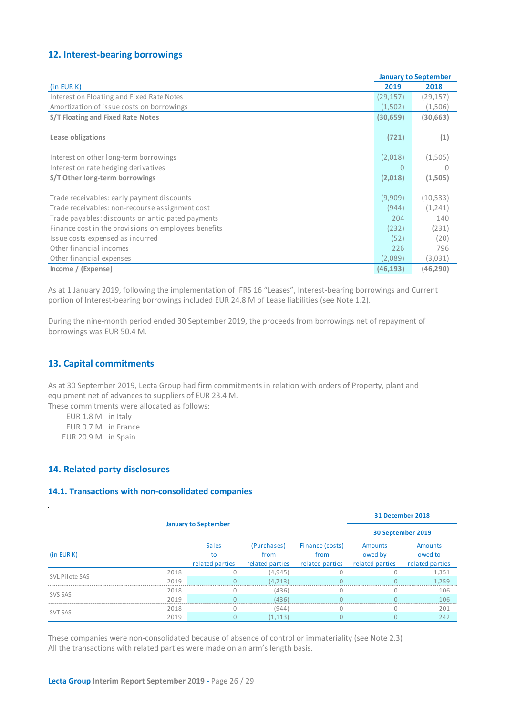# <span id="page-25-0"></span>**12. Interest-bearing borrowings**

|                                                      | <b>January to September</b> |           |  |
|------------------------------------------------------|-----------------------------|-----------|--|
| (in EUR K)                                           | 2019                        | 2018      |  |
| Interest on Floating and Fixed Rate Notes            | (29, 157)                   | (29, 157) |  |
| Amortization of issue costs on borrowings            | (1,502)                     | (1,506)   |  |
| S/T Floating and Fixed Rate Notes                    | (30, 659)                   | (30, 663) |  |
|                                                      |                             |           |  |
| Lease obligations                                    | (721)                       | (1)       |  |
|                                                      |                             |           |  |
| Interest on other long-term borrowings               | (2,018)                     | (1,505)   |  |
| Interest on rate hedging derivatives                 | $\Omega$                    | $\Omega$  |  |
| S/T Other long-term borrowings                       | (2,018)                     | (1,505)   |  |
|                                                      |                             |           |  |
| Trade receivables: early payment discounts           | (9,909)                     | (10, 533) |  |
| Trade receivables: non-recourse assignment cost      | (944)                       | (1,241)   |  |
| Trade payables: discounts on anticipated payments    | 204                         | 140       |  |
| Finance cost in the provisions on employees benefits | (232)                       | (231)     |  |
| Issue costs expensed as incurred                     | (52)                        | (20)      |  |
| Other financial incomes                              | 226                         | 796       |  |
| Other financial expenses                             | (2,089)                     | (3,031)   |  |
| Income / (Expense)                                   | (46, 193)                   | (46, 290) |  |

As at 1 January 2019, following the implementation of IFRS 16 "Leases", Interest-bearing borrowings and Current portion of Interest-bearing borrowings included EUR 24.8 M of Lease liabilities (see Note 1.2).

During the nine-month period ended 30 September 2019, the proceeds from borrowings net of repayment of borrowings was EUR 50.4 M.

# <span id="page-25-1"></span>**13. Capital commitments**

As at 30 September 2019, Lecta Group had firm commitments in relation with orders of Property, plant and equipment net of advances to suppliers of EUR 23.4 M. These commitments were allocated as follows:

<span id="page-25-2"></span>EUR 1.8 M in Italy EUR 0.7 M in France EUR 20.9 M in Spain

# **14. Related party disclosures**

J.

### <span id="page-25-3"></span>**14.1. Transactions with non-consolidated companies**

|                             | 31 December 2018 |                                       |                                        |                                            |                                              |                                              |  |  |  |
|-----------------------------|------------------|---------------------------------------|----------------------------------------|--------------------------------------------|----------------------------------------------|----------------------------------------------|--|--|--|
| <b>January to September</b> |                  |                                       |                                        |                                            |                                              | 30 September 2019                            |  |  |  |
| (in EUR K)                  |                  | <b>Sales</b><br>to<br>related parties | (Purchases)<br>from<br>related parties | Finance (costs)<br>from<br>related parties | <b>Amounts</b><br>owed by<br>related parties | <b>Amounts</b><br>owed to<br>related parties |  |  |  |
|                             | 2018             | 0                                     | (4,945)                                |                                            |                                              | 1,351                                        |  |  |  |
| SVL Pilote SAS              | 2019             |                                       | (4.713)                                |                                            |                                              | 1.259                                        |  |  |  |
| SVS SAS                     | 2018             | Ω                                     | (436)                                  | $\Omega$                                   | Ω                                            | 106                                          |  |  |  |
|                             | 2019             |                                       | (436)                                  |                                            |                                              | 106                                          |  |  |  |
| <b>SVT SAS</b>              | 2018             |                                       | (944)                                  | O                                          |                                              | 201                                          |  |  |  |
|                             | 2019             |                                       | (1, 113)                               | $\Omega$                                   |                                              | 242                                          |  |  |  |

These companies were non-consolidated because of absence of control or immateriality (see Note 2.3) All the transactions with related parties were made on an arm's length basis.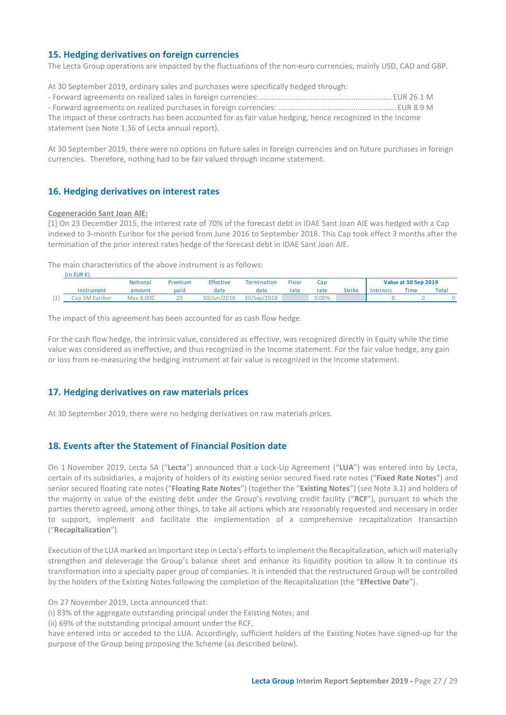# <span id="page-26-0"></span>**15. Hedging derivatives on foreign currencies**

The Lecta Group operations are impacted by the fluctuations of the non-euro currencies, mainly USD, CAD and GBP.

At 30 September 2019, ordinary sales and purchases were specifically hedged through: - Forward agreements on realized sales in foreign currencies:.............................................................. EUR 26.1 M - Forward agreements on realized purchases in foreign currencies: ....................................................... EUR 8.9 M The impact of these contracts has been accounted for as fair value hedging, hence recognized in the Income statement (see Note 1.36 of Lecta annual report).

At 30 September 2019, there were no options on future sales in foreign currencies and on future purchases in foreign currencies. Therefore, nothing had to be fair valued through Income statement.

### <span id="page-26-1"></span>**16. Hedging derivatives on interest rates**

### **Cogeneración Sant Joan AIE:**

[1] On 23 December 2015, the interest rate of 70% of the forecast debt in IDAE Sant Joan AIE was hedged with a Cap indexed to 3-month Euribor for the period from June 2016 to September 2018. This Cap took effect 3 months after the termination of the prior interest rates hedge of the forecast debt in IDAE Sant Joan AIE.

The main characteristics of the above instrument is as follows:

|        | (in EUR K)     |           |         |             |                    |       |          |               |                  |                      |       |
|--------|----------------|-----------|---------|-------------|--------------------|-------|----------|---------------|------------------|----------------------|-------|
|        |                | Notional  | Premium | Effective   | <b>Termination</b> | Floor | Cap      |               |                  | Value at 30 Sep 2019 |       |
|        | Instrument     | amount    | paid    | date        | date               | rate  | rate     | <b>Strike</b> | <b>Intrinsic</b> | Time                 | Total |
| alla l | Cap 3M Euribor | Max 8.000 | 20      | 30/Jun/2016 | 30/Sep/2018        |       | $0.00\%$ |               |                  |                      |       |

The impact of this agreement has been accounted for as cash flow hedge.

For the cash flow hedge, the intrinsic value, considered as effective, was recognized directly in Equity while the time value was considered as ineffective, and thus recognized in the Income statement. For the fair value hedge, any gain or loss from re-measuring the hedging instrument at fair value is recognized in the Income statement.

# <span id="page-26-2"></span>**17. Hedging derivatives on raw materials prices**

At 30 September 2019, there were no hedging derivatives on raw materials prices.

### <span id="page-26-3"></span>**18. Events after the Statement of Financial Position date**

On 1 November 2019, Lecta SA ("**Lecta**") announced that a Lock-Up Agreement ("**LUA**") was entered into by Lecta, certain of its subsidiaries, a majority of holders of its existing senior secured fixed rate notes ("**Fixed Rate Notes**") and senior secured floating rate notes ("**Floating Rate Notes**") (together the "**Existing Notes**") (see Note 3.1) and holders of the majority in value of the existing debt under the Group's revolving credit facility ("**RCF**"), pursuant to which the parties thereto agreed, among other things, to take all actions which are reasonably requested and necessary in order to support, implement and facilitate the implementation of a comprehensive recapitalization transaction ("**Recapitalization**").

Execution of the LUA marked an important step in Lecta's efforts to implement the Recapitalization, which will materially strengthen and deleverage the Group's balance sheet and enhance its liquidity position to allow it to continue its transformation into a specialty paper group of companies. It is intended that the restructured Group will be controlled by the holders of the Existing Notes following the completion of the Recapitalization (the "**Effective Date**").

On 27 November 2019, Lecta announced that:

(i) 83% of the aggregate outstanding principal under the Existing Notes; and

(ii) 69% of the outstanding principal amount under the RCF,

have entered into or acceded to the LUA. Accordingly, sufficient holders of the Existing Notes have signed-up for the purpose of the Group being proposing the Scheme (as described below).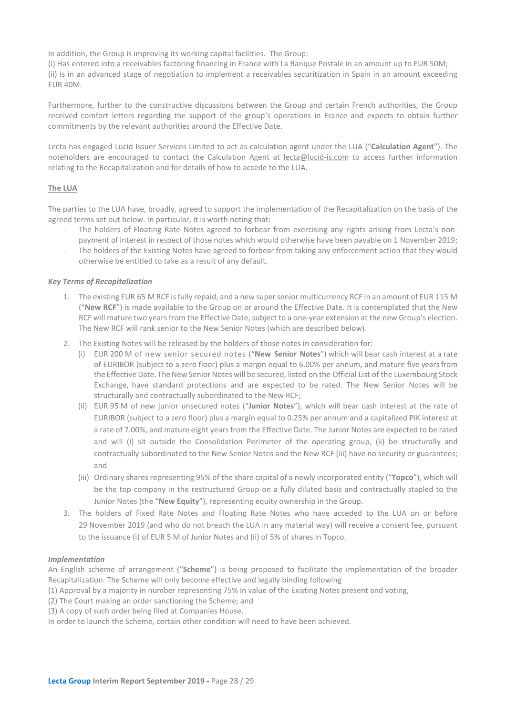In addition, the Group is improving its working capital facilities. The Group:

(i) Has entered into a receivables factoring financing in France with La Banque Postale in an amount up to EUR 50M; (ii) Is in an advanced stage of negotiation to implement a receivables securitization in Spain in an amount exceeding EUR 40M.

Furthermore, further to the constructive discussions between the Group and certain French authorities, the Group received comfort letters regarding the support of the group's operations in France and expects to obtain further commitments by the relevant authorities around the Effective Date.

Lecta has engaged Lucid Issuer Services Limited to act as calculation agent under the LUA ("**Calculation Agent**"). The noteholders are encouraged to contact the Calculation Agent at [lecta@lucid-is.com](mailto:lecta@lucid-is.com) to access further information relating to the Recapitalization and for details of how to accede to the LUA.

### **The LUA**

The parties to the LUA have, broadly, agreed to support the implementation of the Recapitalization on the basis of the agreed terms set out below. In particular, it is worth noting that:

- The holders of Floating Rate Notes agreed to forbear from exercising any rights arising from Lecta's nonpayment of interest in respect of those notes which would otherwise have been payable on 1 November 2019;
- The holders of the Existing Notes have agreed to forbear from taking any enforcement action that they would otherwise be entitled to take as a result of any default.

### *Key Terms of Recapitalization*

- 1. The existing EUR 65 M RCF is fully repaid, and a new super senior multicurrency RCF in an amount of EUR 115 M ("**New RCF**") is made available to the Group on or around the Effective Date. It is contemplated that the New RCF will mature two years from the Effective Date, subject to a one-year extension at the new Group's election. The New RCF will rank senior to the New Senior Notes (which are described below).
- 2. The Existing Notes will be released by the holders of those notes in consideration for:
	- (i) EUR 200 M of new senior secured notes ("**New Senior Notes**") which will bear cash interest at a rate of EURIBOR (subject to a zero floor) plus a margin equal to 6.00% per annum, and mature five yearsfrom the Effective Date. The New Senior Notes will be secured, listed on the Official List of the Luxembourg Stock Exchange, have standard protections and are expected to be rated. The New Senior Notes will be structurally and contractually subordinated to the New RCF;
	- (ii) EUR 95 M of new junior unsecured notes ("**Junior Notes**"), which will bear cash interest at the rate of EURIBOR (subject to a zero floor) plus a margin equal to 0.25% per annum and a capitalized PIK interest at a rate of 7.00%, and mature eight years from the Effective Date. The Junior Notes are expected to be rated and will (i) sit outside the Consolidation Perimeter of the operating group, (ii) be structurally and contractually subordinated to the New Senior Notes and the New RCF (iii) have no security or guarantees; and
	- (iii) Ordinary shares representing 95% of the share capital of a newly incorporated entity ("**Topco**"), which will be the top company in the restructured Group on a fully diluted basis and contractually stapled to the Junior Notes (the "**New Equity**"), representing equity ownership in the Group.
- 3. The holders of Fixed Rate Notes and Floating Rate Notes who have acceded to the LUA on or before 29 November 2019 (and who do not breach the LUA in any material way) will receive a consent fee, pursuant to the issuance (i) of EUR 5 M of Junior Notes and (ii) of 5% of shares in Topco.

### *Implementation*

An English scheme of arrangement ("**Scheme**") is being proposed to facilitate the implementation of the broader Recapitalization. The Scheme will only become effective and legally binding following

(1) Approval by a majority in number representing 75% in value of the Existing Notes present and voting,

(2) The Court making an order sanctioning the Scheme; and

(3) A copy of such order being filed at Companies House.

In order to launch the Scheme, certain other condition will need to have been achieved.